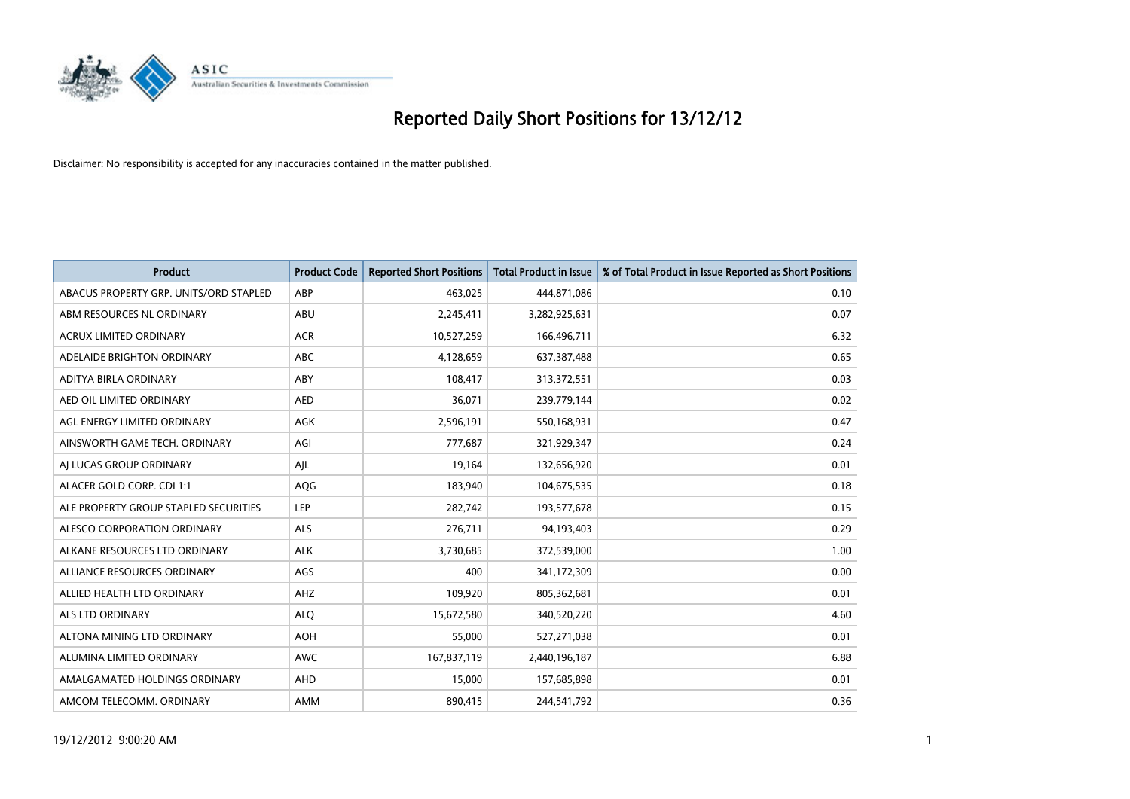

| <b>Product</b>                         | <b>Product Code</b> | <b>Reported Short Positions</b> | <b>Total Product in Issue</b> | % of Total Product in Issue Reported as Short Positions |
|----------------------------------------|---------------------|---------------------------------|-------------------------------|---------------------------------------------------------|
| ABACUS PROPERTY GRP. UNITS/ORD STAPLED | ABP                 | 463,025                         | 444,871,086                   | 0.10                                                    |
| ABM RESOURCES NL ORDINARY              | ABU                 | 2,245,411                       | 3,282,925,631                 | 0.07                                                    |
| <b>ACRUX LIMITED ORDINARY</b>          | <b>ACR</b>          | 10,527,259                      | 166,496,711                   | 6.32                                                    |
| ADELAIDE BRIGHTON ORDINARY             | <b>ABC</b>          | 4,128,659                       | 637,387,488                   | 0.65                                                    |
| ADITYA BIRLA ORDINARY                  | ABY                 | 108,417                         | 313,372,551                   | 0.03                                                    |
| AED OIL LIMITED ORDINARY               | <b>AED</b>          | 36,071                          | 239,779,144                   | 0.02                                                    |
| AGL ENERGY LIMITED ORDINARY            | <b>AGK</b>          | 2,596,191                       | 550,168,931                   | 0.47                                                    |
| AINSWORTH GAME TECH. ORDINARY          | AGI                 | 777,687                         | 321,929,347                   | 0.24                                                    |
| AI LUCAS GROUP ORDINARY                | AJL                 | 19,164                          | 132,656,920                   | 0.01                                                    |
| ALACER GOLD CORP. CDI 1:1              | AQG                 | 183,940                         | 104,675,535                   | 0.18                                                    |
| ALE PROPERTY GROUP STAPLED SECURITIES  | LEP                 | 282,742                         | 193,577,678                   | 0.15                                                    |
| ALESCO CORPORATION ORDINARY            | <b>ALS</b>          | 276,711                         | 94,193,403                    | 0.29                                                    |
| ALKANE RESOURCES LTD ORDINARY          | <b>ALK</b>          | 3,730,685                       | 372,539,000                   | 1.00                                                    |
| ALLIANCE RESOURCES ORDINARY            | AGS                 | 400                             | 341,172,309                   | 0.00                                                    |
| ALLIED HEALTH LTD ORDINARY             | AHZ                 | 109,920                         | 805,362,681                   | 0.01                                                    |
| ALS LTD ORDINARY                       | <b>ALO</b>          | 15,672,580                      | 340,520,220                   | 4.60                                                    |
| ALTONA MINING LTD ORDINARY             | <b>AOH</b>          | 55,000                          | 527,271,038                   | 0.01                                                    |
| ALUMINA LIMITED ORDINARY               | <b>AWC</b>          | 167,837,119                     | 2,440,196,187                 | 6.88                                                    |
| AMALGAMATED HOLDINGS ORDINARY          | <b>AHD</b>          | 15,000                          | 157,685,898                   | 0.01                                                    |
| AMCOM TELECOMM. ORDINARY               | <b>AMM</b>          | 890,415                         | 244,541,792                   | 0.36                                                    |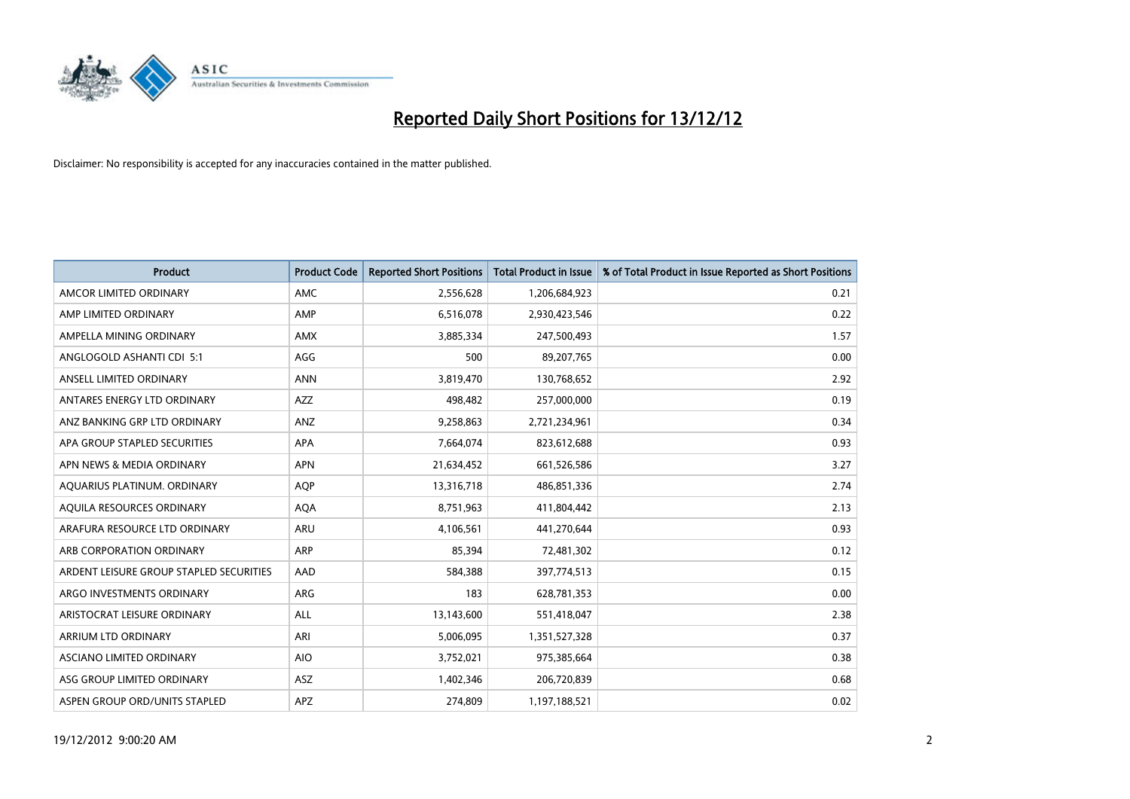

| <b>Product</b>                          | <b>Product Code</b> | <b>Reported Short Positions</b> | <b>Total Product in Issue</b> | % of Total Product in Issue Reported as Short Positions |
|-----------------------------------------|---------------------|---------------------------------|-------------------------------|---------------------------------------------------------|
| AMCOR LIMITED ORDINARY                  | <b>AMC</b>          | 2,556,628                       | 1,206,684,923                 | 0.21                                                    |
| AMP LIMITED ORDINARY                    | AMP                 | 6,516,078                       | 2,930,423,546                 | 0.22                                                    |
| AMPELLA MINING ORDINARY                 | <b>AMX</b>          | 3,885,334                       | 247,500,493                   | 1.57                                                    |
| ANGLOGOLD ASHANTI CDI 5:1               | AGG                 | 500                             | 89,207,765                    | 0.00                                                    |
| ANSELL LIMITED ORDINARY                 | <b>ANN</b>          | 3,819,470                       | 130,768,652                   | 2.92                                                    |
| ANTARES ENERGY LTD ORDINARY             | <b>AZZ</b>          | 498,482                         | 257,000,000                   | 0.19                                                    |
| ANZ BANKING GRP LTD ORDINARY            | <b>ANZ</b>          | 9,258,863                       | 2,721,234,961                 | 0.34                                                    |
| APA GROUP STAPLED SECURITIES            | <b>APA</b>          | 7,664,074                       | 823,612,688                   | 0.93                                                    |
| APN NEWS & MEDIA ORDINARY               | <b>APN</b>          | 21,634,452                      | 661,526,586                   | 3.27                                                    |
| AQUARIUS PLATINUM. ORDINARY             | <b>AOP</b>          | 13,316,718                      | 486,851,336                   | 2.74                                                    |
| AQUILA RESOURCES ORDINARY               | <b>AQA</b>          | 8,751,963                       | 411,804,442                   | 2.13                                                    |
| ARAFURA RESOURCE LTD ORDINARY           | <b>ARU</b>          | 4,106,561                       | 441,270,644                   | 0.93                                                    |
| ARB CORPORATION ORDINARY                | <b>ARP</b>          | 85,394                          | 72,481,302                    | 0.12                                                    |
| ARDENT LEISURE GROUP STAPLED SECURITIES | AAD                 | 584,388                         | 397,774,513                   | 0.15                                                    |
| ARGO INVESTMENTS ORDINARY               | <b>ARG</b>          | 183                             | 628,781,353                   | 0.00                                                    |
| ARISTOCRAT LEISURE ORDINARY             | ALL                 | 13,143,600                      | 551,418,047                   | 2.38                                                    |
| ARRIUM LTD ORDINARY                     | ARI                 | 5,006,095                       | 1,351,527,328                 | 0.37                                                    |
| ASCIANO LIMITED ORDINARY                | <b>AIO</b>          | 3,752,021                       | 975,385,664                   | 0.38                                                    |
| ASG GROUP LIMITED ORDINARY              | <b>ASZ</b>          | 1,402,346                       | 206,720,839                   | 0.68                                                    |
| ASPEN GROUP ORD/UNITS STAPLED           | APZ                 | 274,809                         | 1,197,188,521                 | 0.02                                                    |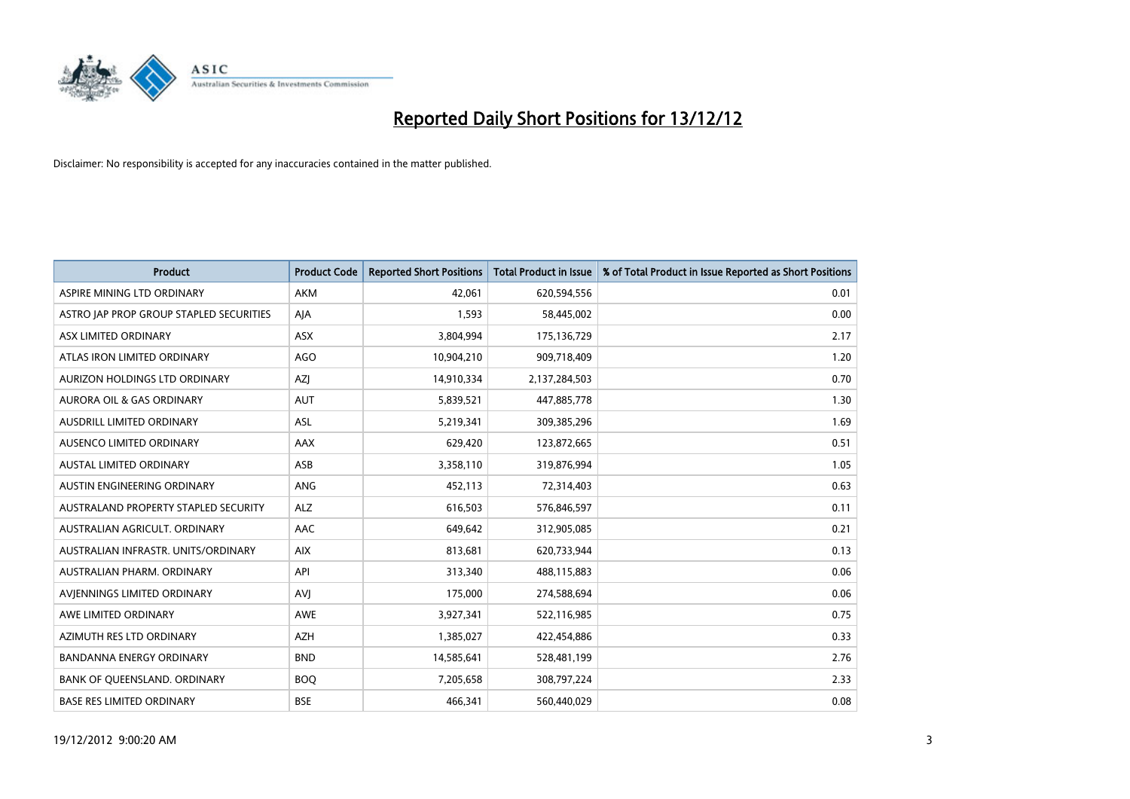

| <b>Product</b>                          | <b>Product Code</b> | <b>Reported Short Positions</b> | Total Product in Issue | % of Total Product in Issue Reported as Short Positions |
|-----------------------------------------|---------------------|---------------------------------|------------------------|---------------------------------------------------------|
| ASPIRE MINING LTD ORDINARY              | AKM                 | 42.061                          | 620,594,556            | 0.01                                                    |
| ASTRO JAP PROP GROUP STAPLED SECURITIES | AIA                 | 1,593                           | 58,445,002             | 0.00                                                    |
| ASX LIMITED ORDINARY                    | <b>ASX</b>          | 3,804,994                       | 175,136,729            | 2.17                                                    |
| ATLAS IRON LIMITED ORDINARY             | <b>AGO</b>          | 10,904,210                      | 909,718,409            | 1.20                                                    |
| AURIZON HOLDINGS LTD ORDINARY           | AZI                 | 14,910,334                      | 2,137,284,503          | 0.70                                                    |
| AURORA OIL & GAS ORDINARY               | <b>AUT</b>          | 5,839,521                       | 447,885,778            | 1.30                                                    |
| AUSDRILL LIMITED ORDINARY               | <b>ASL</b>          | 5,219,341                       | 309,385,296            | 1.69                                                    |
| AUSENCO LIMITED ORDINARY                | AAX                 | 629,420                         | 123,872,665            | 0.51                                                    |
| AUSTAL LIMITED ORDINARY                 | ASB                 | 3,358,110                       | 319,876,994            | 1.05                                                    |
| AUSTIN ENGINEERING ORDINARY             | <b>ANG</b>          | 452,113                         | 72,314,403             | 0.63                                                    |
| AUSTRALAND PROPERTY STAPLED SECURITY    | <b>ALZ</b>          | 616,503                         | 576,846,597            | 0.11                                                    |
| AUSTRALIAN AGRICULT, ORDINARY           | AAC                 | 649,642                         | 312,905,085            | 0.21                                                    |
| AUSTRALIAN INFRASTR. UNITS/ORDINARY     | <b>AIX</b>          | 813,681                         | 620,733,944            | 0.13                                                    |
| AUSTRALIAN PHARM, ORDINARY              | API                 | 313,340                         | 488,115,883            | 0.06                                                    |
| AVIENNINGS LIMITED ORDINARY             | <b>AVI</b>          | 175,000                         | 274,588,694            | 0.06                                                    |
| AWE LIMITED ORDINARY                    | AWE                 | 3,927,341                       | 522,116,985            | 0.75                                                    |
| AZIMUTH RES LTD ORDINARY                | <b>AZH</b>          | 1,385,027                       | 422,454,886            | 0.33                                                    |
| BANDANNA ENERGY ORDINARY                | <b>BND</b>          | 14,585,641                      | 528,481,199            | 2.76                                                    |
| BANK OF OUEENSLAND, ORDINARY            | <b>BOQ</b>          | 7,205,658                       | 308,797,224            | 2.33                                                    |
| <b>BASE RES LIMITED ORDINARY</b>        | <b>BSE</b>          | 466.341                         | 560,440,029            | 0.08                                                    |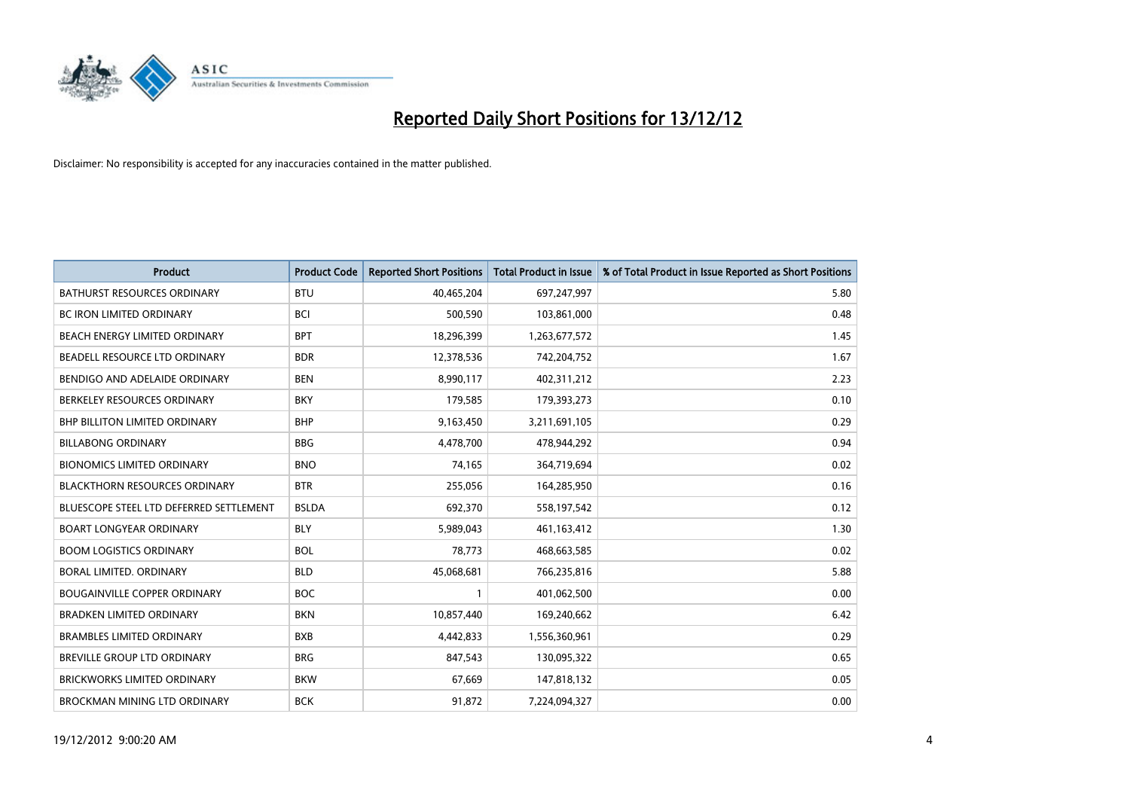

| <b>Product</b>                          | <b>Product Code</b> | <b>Reported Short Positions</b> | <b>Total Product in Issue</b> | % of Total Product in Issue Reported as Short Positions |
|-----------------------------------------|---------------------|---------------------------------|-------------------------------|---------------------------------------------------------|
| <b>BATHURST RESOURCES ORDINARY</b>      | <b>BTU</b>          | 40,465,204                      | 697,247,997                   | 5.80                                                    |
| <b>BC IRON LIMITED ORDINARY</b>         | <b>BCI</b>          | 500,590                         | 103,861,000                   | 0.48                                                    |
| <b>BEACH ENERGY LIMITED ORDINARY</b>    | <b>BPT</b>          | 18,296,399                      | 1,263,677,572                 | 1.45                                                    |
| BEADELL RESOURCE LTD ORDINARY           | <b>BDR</b>          | 12,378,536                      | 742,204,752                   | 1.67                                                    |
| BENDIGO AND ADELAIDE ORDINARY           | <b>BEN</b>          | 8,990,117                       | 402,311,212                   | 2.23                                                    |
| BERKELEY RESOURCES ORDINARY             | <b>BKY</b>          | 179,585                         | 179,393,273                   | 0.10                                                    |
| <b>BHP BILLITON LIMITED ORDINARY</b>    | <b>BHP</b>          | 9,163,450                       | 3,211,691,105                 | 0.29                                                    |
| <b>BILLABONG ORDINARY</b>               | <b>BBG</b>          | 4,478,700                       | 478,944,292                   | 0.94                                                    |
| <b>BIONOMICS LIMITED ORDINARY</b>       | <b>BNO</b>          | 74,165                          | 364,719,694                   | 0.02                                                    |
| <b>BLACKTHORN RESOURCES ORDINARY</b>    | <b>BTR</b>          | 255,056                         | 164,285,950                   | 0.16                                                    |
| BLUESCOPE STEEL LTD DEFERRED SETTLEMENT | <b>BSLDA</b>        | 692,370                         | 558,197,542                   | 0.12                                                    |
| <b>BOART LONGYEAR ORDINARY</b>          | <b>BLY</b>          | 5,989,043                       | 461,163,412                   | 1.30                                                    |
| <b>BOOM LOGISTICS ORDINARY</b>          | <b>BOL</b>          | 78,773                          | 468,663,585                   | 0.02                                                    |
| BORAL LIMITED, ORDINARY                 | <b>BLD</b>          | 45,068,681                      | 766,235,816                   | 5.88                                                    |
| <b>BOUGAINVILLE COPPER ORDINARY</b>     | <b>BOC</b>          | 1                               | 401,062,500                   | 0.00                                                    |
| <b>BRADKEN LIMITED ORDINARY</b>         | <b>BKN</b>          | 10,857,440                      | 169,240,662                   | 6.42                                                    |
| <b>BRAMBLES LIMITED ORDINARY</b>        | <b>BXB</b>          | 4,442,833                       | 1,556,360,961                 | 0.29                                                    |
| BREVILLE GROUP LTD ORDINARY             | <b>BRG</b>          | 847,543                         | 130,095,322                   | 0.65                                                    |
| <b>BRICKWORKS LIMITED ORDINARY</b>      | <b>BKW</b>          | 67,669                          | 147,818,132                   | 0.05                                                    |
| BROCKMAN MINING LTD ORDINARY            | <b>BCK</b>          | 91,872                          | 7.224.094.327                 | 0.00                                                    |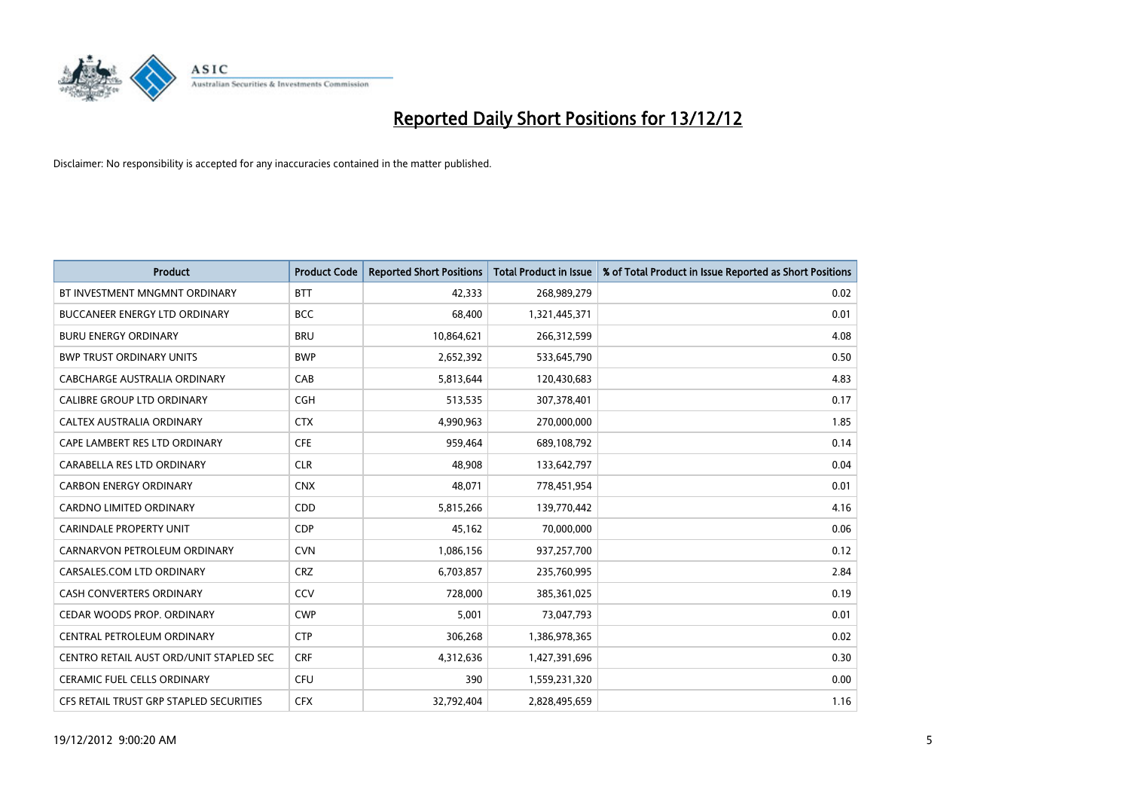

| <b>Product</b>                          | <b>Product Code</b> | <b>Reported Short Positions</b> | <b>Total Product in Issue</b> | % of Total Product in Issue Reported as Short Positions |
|-----------------------------------------|---------------------|---------------------------------|-------------------------------|---------------------------------------------------------|
| BT INVESTMENT MNGMNT ORDINARY           | <b>BTT</b>          | 42.333                          | 268,989,279                   | 0.02                                                    |
| <b>BUCCANEER ENERGY LTD ORDINARY</b>    | <b>BCC</b>          | 68,400                          | 1,321,445,371                 | 0.01                                                    |
| <b>BURU ENERGY ORDINARY</b>             | <b>BRU</b>          | 10,864,621                      | 266,312,599                   | 4.08                                                    |
| <b>BWP TRUST ORDINARY UNITS</b>         | <b>BWP</b>          | 2,652,392                       | 533,645,790                   | 0.50                                                    |
| CABCHARGE AUSTRALIA ORDINARY            | CAB                 | 5,813,644                       | 120,430,683                   | 4.83                                                    |
| <b>CALIBRE GROUP LTD ORDINARY</b>       | <b>CGH</b>          | 513,535                         | 307,378,401                   | 0.17                                                    |
| <b>CALTEX AUSTRALIA ORDINARY</b>        | <b>CTX</b>          | 4,990,963                       | 270,000,000                   | 1.85                                                    |
| CAPE LAMBERT RES LTD ORDINARY           | <b>CFE</b>          | 959,464                         | 689,108,792                   | 0.14                                                    |
| CARABELLA RES LTD ORDINARY              | <b>CLR</b>          | 48,908                          | 133,642,797                   | 0.04                                                    |
| <b>CARBON ENERGY ORDINARY</b>           | <b>CNX</b>          | 48,071                          | 778,451,954                   | 0.01                                                    |
| <b>CARDNO LIMITED ORDINARY</b>          | <b>CDD</b>          | 5,815,266                       | 139,770,442                   | 4.16                                                    |
| <b>CARINDALE PROPERTY UNIT</b>          | <b>CDP</b>          | 45,162                          | 70,000,000                    | 0.06                                                    |
| CARNARVON PETROLEUM ORDINARY            | <b>CVN</b>          | 1,086,156                       | 937,257,700                   | 0.12                                                    |
| CARSALES.COM LTD ORDINARY               | <b>CRZ</b>          | 6,703,857                       | 235,760,995                   | 2.84                                                    |
| <b>CASH CONVERTERS ORDINARY</b>         | CCV                 | 728,000                         | 385,361,025                   | 0.19                                                    |
| CEDAR WOODS PROP. ORDINARY              | <b>CWP</b>          | 5,001                           | 73,047,793                    | 0.01                                                    |
| CENTRAL PETROLEUM ORDINARY              | <b>CTP</b>          | 306,268                         | 1,386,978,365                 | 0.02                                                    |
| CENTRO RETAIL AUST ORD/UNIT STAPLED SEC | <b>CRF</b>          | 4,312,636                       | 1,427,391,696                 | 0.30                                                    |
| <b>CERAMIC FUEL CELLS ORDINARY</b>      | CFU                 | 390                             | 1,559,231,320                 | 0.00                                                    |
| CFS RETAIL TRUST GRP STAPLED SECURITIES | <b>CFX</b>          | 32.792.404                      | 2,828,495,659                 | 1.16                                                    |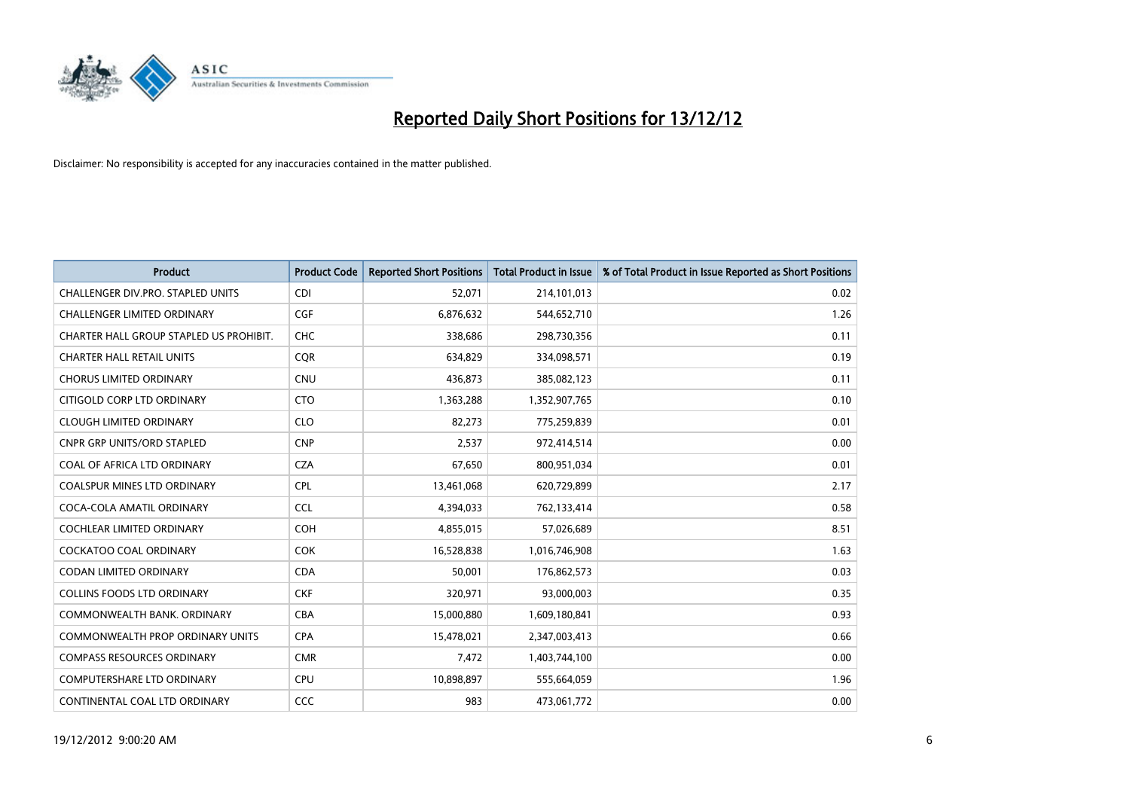

| <b>Product</b>                          | <b>Product Code</b> | <b>Reported Short Positions</b> | Total Product in Issue | % of Total Product in Issue Reported as Short Positions |
|-----------------------------------------|---------------------|---------------------------------|------------------------|---------------------------------------------------------|
| CHALLENGER DIV.PRO. STAPLED UNITS       | <b>CDI</b>          | 52,071                          | 214,101,013            | 0.02                                                    |
| <b>CHALLENGER LIMITED ORDINARY</b>      | <b>CGF</b>          | 6,876,632                       | 544,652,710            | 1.26                                                    |
| CHARTER HALL GROUP STAPLED US PROHIBIT. | <b>CHC</b>          | 338,686                         | 298,730,356            | 0.11                                                    |
| <b>CHARTER HALL RETAIL UNITS</b>        | <b>COR</b>          | 634,829                         | 334,098,571            | 0.19                                                    |
| <b>CHORUS LIMITED ORDINARY</b>          | <b>CNU</b>          | 436.873                         | 385,082,123            | 0.11                                                    |
| CITIGOLD CORP LTD ORDINARY              | <b>CTO</b>          | 1,363,288                       | 1,352,907,765          | 0.10                                                    |
| <b>CLOUGH LIMITED ORDINARY</b>          | <b>CLO</b>          | 82,273                          | 775,259,839            | 0.01                                                    |
| <b>CNPR GRP UNITS/ORD STAPLED</b>       | <b>CNP</b>          | 2,537                           | 972,414,514            | 0.00                                                    |
| COAL OF AFRICA LTD ORDINARY             | <b>CZA</b>          | 67,650                          | 800,951,034            | 0.01                                                    |
| <b>COALSPUR MINES LTD ORDINARY</b>      | <b>CPL</b>          | 13,461,068                      | 620,729,899            | 2.17                                                    |
| COCA-COLA AMATIL ORDINARY               | <b>CCL</b>          | 4,394,033                       | 762,133,414            | 0.58                                                    |
| <b>COCHLEAR LIMITED ORDINARY</b>        | <b>COH</b>          | 4,855,015                       | 57,026,689             | 8.51                                                    |
| <b>COCKATOO COAL ORDINARY</b>           | <b>COK</b>          | 16,528,838                      | 1,016,746,908          | 1.63                                                    |
| <b>CODAN LIMITED ORDINARY</b>           | <b>CDA</b>          | 50,001                          | 176,862,573            | 0.03                                                    |
| COLLINS FOODS LTD ORDINARY              | <b>CKF</b>          | 320,971                         | 93,000,003             | 0.35                                                    |
| COMMONWEALTH BANK, ORDINARY             | <b>CBA</b>          | 15,000,880                      | 1,609,180,841          | 0.93                                                    |
| <b>COMMONWEALTH PROP ORDINARY UNITS</b> | <b>CPA</b>          | 15,478,021                      | 2,347,003,413          | 0.66                                                    |
| <b>COMPASS RESOURCES ORDINARY</b>       | <b>CMR</b>          | 7,472                           | 1,403,744,100          | 0.00                                                    |
| <b>COMPUTERSHARE LTD ORDINARY</b>       | <b>CPU</b>          | 10,898,897                      | 555,664,059            | 1.96                                                    |
| CONTINENTAL COAL LTD ORDINARY           | <b>CCC</b>          | 983                             | 473,061,772            | 0.00                                                    |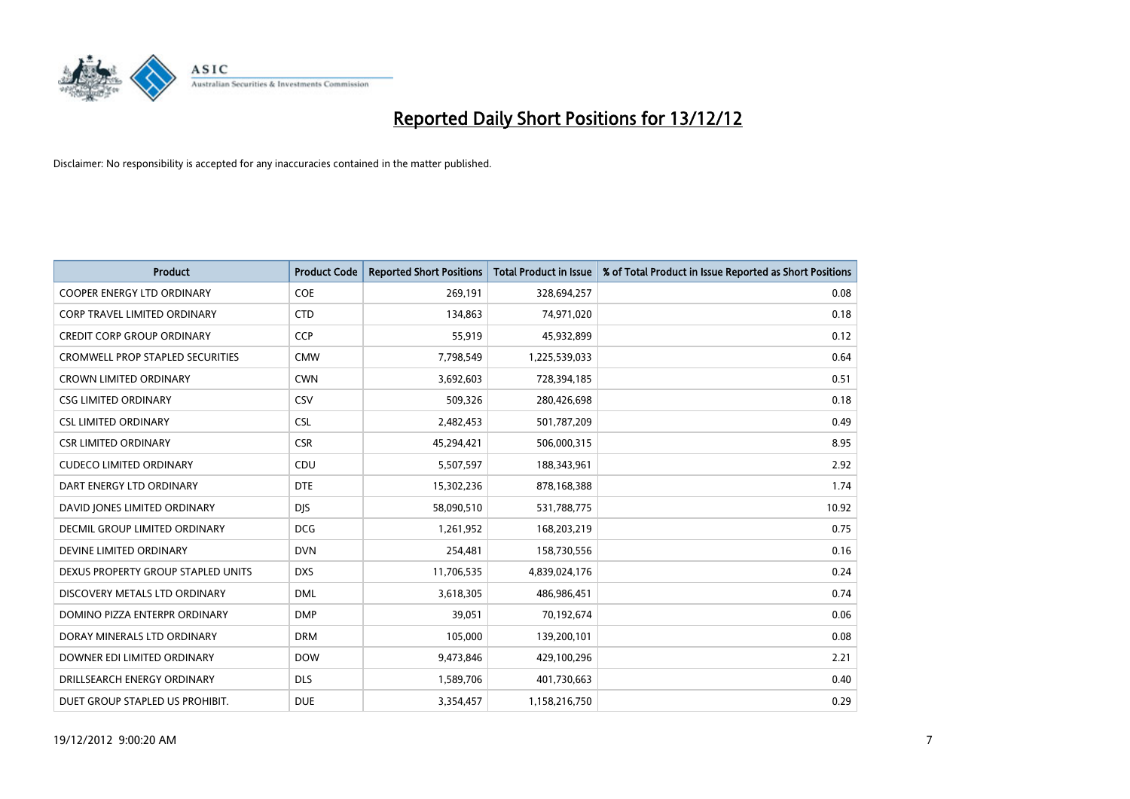

| <b>Product</b>                          | <b>Product Code</b> | <b>Reported Short Positions</b> | <b>Total Product in Issue</b> | % of Total Product in Issue Reported as Short Positions |
|-----------------------------------------|---------------------|---------------------------------|-------------------------------|---------------------------------------------------------|
| <b>COOPER ENERGY LTD ORDINARY</b>       | <b>COE</b>          | 269,191                         | 328,694,257                   | 0.08                                                    |
| CORP TRAVEL LIMITED ORDINARY            | <b>CTD</b>          | 134,863                         | 74,971,020                    | 0.18                                                    |
| <b>CREDIT CORP GROUP ORDINARY</b>       | <b>CCP</b>          | 55,919                          | 45,932,899                    | 0.12                                                    |
| <b>CROMWELL PROP STAPLED SECURITIES</b> | <b>CMW</b>          | 7,798,549                       | 1,225,539,033                 | 0.64                                                    |
| <b>CROWN LIMITED ORDINARY</b>           | <b>CWN</b>          | 3,692,603                       | 728,394,185                   | 0.51                                                    |
| <b>CSG LIMITED ORDINARY</b>             | CSV                 | 509,326                         | 280,426,698                   | 0.18                                                    |
| <b>CSL LIMITED ORDINARY</b>             | <b>CSL</b>          | 2,482,453                       | 501,787,209                   | 0.49                                                    |
| <b>CSR LIMITED ORDINARY</b>             | <b>CSR</b>          | 45,294,421                      | 506,000,315                   | 8.95                                                    |
| <b>CUDECO LIMITED ORDINARY</b>          | CDU                 | 5,507,597                       | 188,343,961                   | 2.92                                                    |
| DART ENERGY LTD ORDINARY                | <b>DTE</b>          | 15,302,236                      | 878,168,388                   | 1.74                                                    |
| DAVID JONES LIMITED ORDINARY            | <b>DJS</b>          | 58,090,510                      | 531,788,775                   | 10.92                                                   |
| <b>DECMIL GROUP LIMITED ORDINARY</b>    | <b>DCG</b>          | 1,261,952                       | 168,203,219                   | 0.75                                                    |
| DEVINE LIMITED ORDINARY                 | <b>DVN</b>          | 254,481                         | 158,730,556                   | 0.16                                                    |
| DEXUS PROPERTY GROUP STAPLED UNITS      | <b>DXS</b>          | 11,706,535                      | 4,839,024,176                 | 0.24                                                    |
| DISCOVERY METALS LTD ORDINARY           | <b>DML</b>          | 3,618,305                       | 486,986,451                   | 0.74                                                    |
| DOMINO PIZZA ENTERPR ORDINARY           | <b>DMP</b>          | 39,051                          | 70,192,674                    | 0.06                                                    |
| DORAY MINERALS LTD ORDINARY             | <b>DRM</b>          | 105,000                         | 139,200,101                   | 0.08                                                    |
| DOWNER EDI LIMITED ORDINARY             | <b>DOW</b>          | 9,473,846                       | 429,100,296                   | 2.21                                                    |
| DRILLSEARCH ENERGY ORDINARY             | <b>DLS</b>          | 1,589,706                       | 401,730,663                   | 0.40                                                    |
| DUET GROUP STAPLED US PROHIBIT.         | <b>DUE</b>          | 3,354,457                       | 1,158,216,750                 | 0.29                                                    |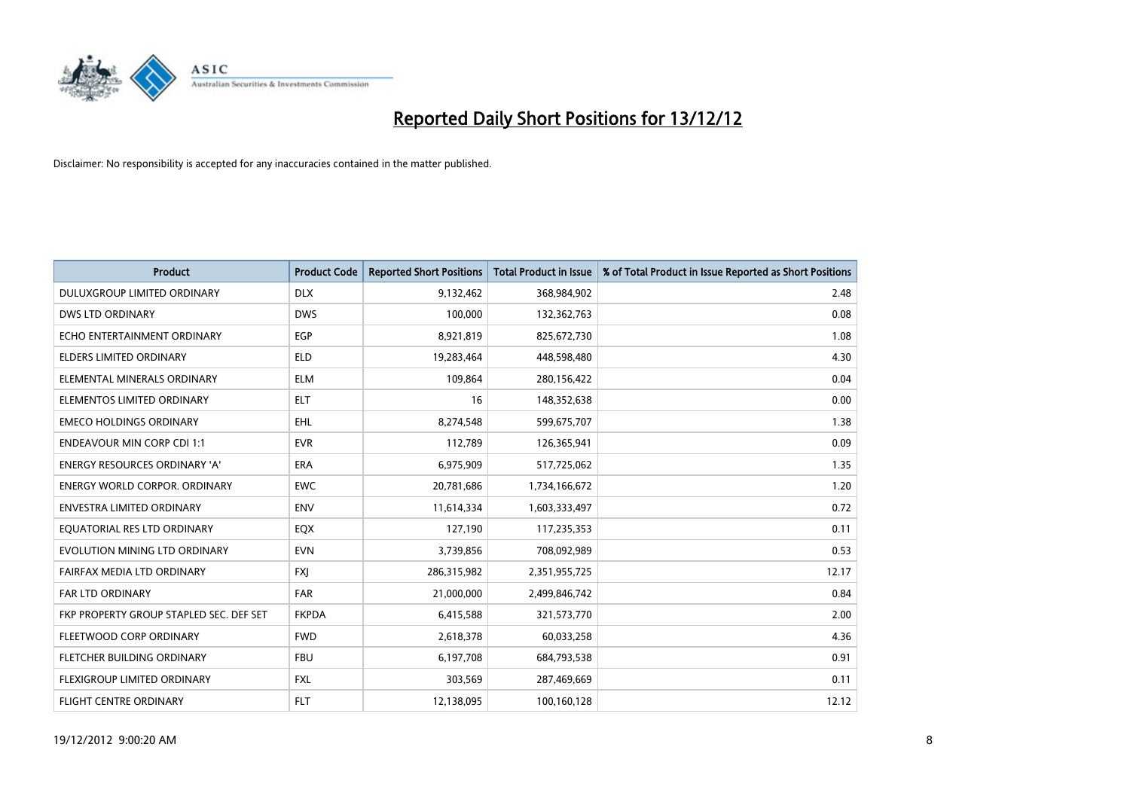

| <b>Product</b>                          | <b>Product Code</b> | <b>Reported Short Positions</b> | <b>Total Product in Issue</b> | % of Total Product in Issue Reported as Short Positions |
|-----------------------------------------|---------------------|---------------------------------|-------------------------------|---------------------------------------------------------|
| DULUXGROUP LIMITED ORDINARY             | <b>DLX</b>          | 9,132,462                       | 368,984,902                   | 2.48                                                    |
| <b>DWS LTD ORDINARY</b>                 | <b>DWS</b>          | 100,000                         | 132,362,763                   | 0.08                                                    |
| ECHO ENTERTAINMENT ORDINARY             | EGP                 | 8,921,819                       | 825,672,730                   | 1.08                                                    |
| ELDERS LIMITED ORDINARY                 | <b>ELD</b>          | 19,283,464                      | 448,598,480                   | 4.30                                                    |
| ELEMENTAL MINERALS ORDINARY             | <b>ELM</b>          | 109,864                         | 280,156,422                   | 0.04                                                    |
| ELEMENTOS LIMITED ORDINARY              | <b>ELT</b>          | 16                              | 148,352,638                   | 0.00                                                    |
| <b>EMECO HOLDINGS ORDINARY</b>          | <b>EHL</b>          | 8,274,548                       | 599,675,707                   | 1.38                                                    |
| <b>ENDEAVOUR MIN CORP CDI 1:1</b>       | <b>EVR</b>          | 112,789                         | 126,365,941                   | 0.09                                                    |
| ENERGY RESOURCES ORDINARY 'A'           | ERA                 | 6,975,909                       | 517,725,062                   | 1.35                                                    |
| <b>ENERGY WORLD CORPOR, ORDINARY</b>    | <b>EWC</b>          | 20,781,686                      | 1,734,166,672                 | 1.20                                                    |
| ENVESTRA LIMITED ORDINARY               | <b>ENV</b>          | 11,614,334                      | 1,603,333,497                 | 0.72                                                    |
| EQUATORIAL RES LTD ORDINARY             | <b>EQX</b>          | 127,190                         | 117,235,353                   | 0.11                                                    |
| EVOLUTION MINING LTD ORDINARY           | <b>EVN</b>          | 3,739,856                       | 708,092,989                   | 0.53                                                    |
| FAIRFAX MEDIA LTD ORDINARY              | <b>FXI</b>          | 286,315,982                     | 2,351,955,725                 | 12.17                                                   |
| <b>FAR LTD ORDINARY</b>                 | <b>FAR</b>          | 21,000,000                      | 2,499,846,742                 | 0.84                                                    |
| FKP PROPERTY GROUP STAPLED SEC. DEF SET | <b>FKPDA</b>        | 6,415,588                       | 321,573,770                   | 2.00                                                    |
| FLEETWOOD CORP ORDINARY                 | <b>FWD</b>          | 2,618,378                       | 60,033,258                    | 4.36                                                    |
| <b>FLETCHER BUILDING ORDINARY</b>       | <b>FBU</b>          | 6,197,708                       | 684,793,538                   | 0.91                                                    |
| <b>FLEXIGROUP LIMITED ORDINARY</b>      | <b>FXL</b>          | 303,569                         | 287,469,669                   | 0.11                                                    |
| <b>FLIGHT CENTRE ORDINARY</b>           | <b>FLT</b>          | 12,138,095                      | 100,160,128                   | 12.12                                                   |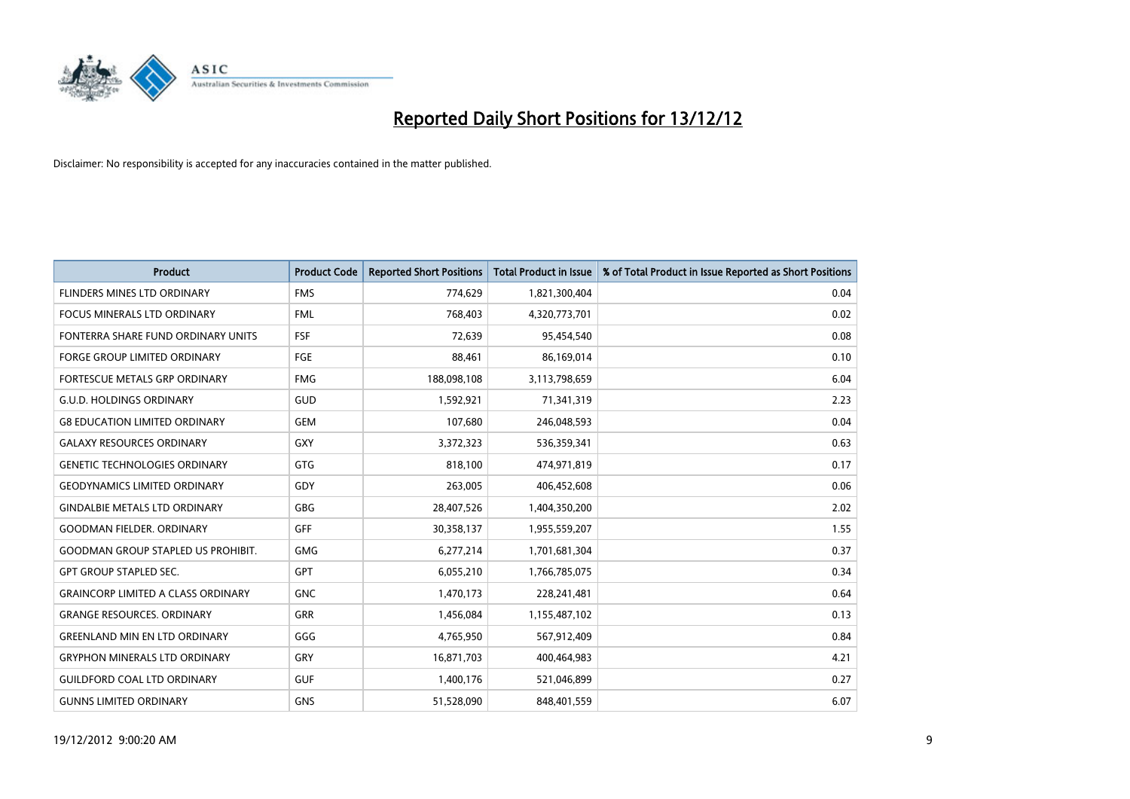

| <b>Product</b>                            | <b>Product Code</b> | <b>Reported Short Positions</b> | <b>Total Product in Issue</b> | % of Total Product in Issue Reported as Short Positions |
|-------------------------------------------|---------------------|---------------------------------|-------------------------------|---------------------------------------------------------|
| FLINDERS MINES LTD ORDINARY               | <b>FMS</b>          | 774,629                         | 1,821,300,404                 | 0.04                                                    |
| FOCUS MINERALS LTD ORDINARY               | <b>FML</b>          | 768,403                         | 4,320,773,701                 | 0.02                                                    |
| FONTERRA SHARE FUND ORDINARY UNITS        | <b>FSF</b>          | 72,639                          | 95,454,540                    | 0.08                                                    |
| FORGE GROUP LIMITED ORDINARY              | <b>FGE</b>          | 88,461                          | 86,169,014                    | 0.10                                                    |
| <b>FORTESCUE METALS GRP ORDINARY</b>      | <b>FMG</b>          | 188,098,108                     | 3,113,798,659                 | 6.04                                                    |
| <b>G.U.D. HOLDINGS ORDINARY</b>           | <b>GUD</b>          | 1,592,921                       | 71,341,319                    | 2.23                                                    |
| <b>G8 EDUCATION LIMITED ORDINARY</b>      | <b>GEM</b>          | 107,680                         | 246,048,593                   | 0.04                                                    |
| <b>GALAXY RESOURCES ORDINARY</b>          | GXY                 | 3,372,323                       | 536,359,341                   | 0.63                                                    |
| <b>GENETIC TECHNOLOGIES ORDINARY</b>      | <b>GTG</b>          | 818,100                         | 474,971,819                   | 0.17                                                    |
| <b>GEODYNAMICS LIMITED ORDINARY</b>       | GDY                 | 263,005                         | 406,452,608                   | 0.06                                                    |
| <b>GINDALBIE METALS LTD ORDINARY</b>      | <b>GBG</b>          | 28,407,526                      | 1,404,350,200                 | 2.02                                                    |
| <b>GOODMAN FIELDER, ORDINARY</b>          | <b>GFF</b>          | 30,358,137                      | 1,955,559,207                 | 1.55                                                    |
| <b>GOODMAN GROUP STAPLED US PROHIBIT.</b> | <b>GMG</b>          | 6,277,214                       | 1,701,681,304                 | 0.37                                                    |
| <b>GPT GROUP STAPLED SEC.</b>             | <b>GPT</b>          | 6,055,210                       | 1,766,785,075                 | 0.34                                                    |
| <b>GRAINCORP LIMITED A CLASS ORDINARY</b> | <b>GNC</b>          | 1,470,173                       | 228,241,481                   | 0.64                                                    |
| <b>GRANGE RESOURCES. ORDINARY</b>         | <b>GRR</b>          | 1,456,084                       | 1,155,487,102                 | 0.13                                                    |
| <b>GREENLAND MIN EN LTD ORDINARY</b>      | GGG                 | 4,765,950                       | 567,912,409                   | 0.84                                                    |
| <b>GRYPHON MINERALS LTD ORDINARY</b>      | GRY                 | 16,871,703                      | 400,464,983                   | 4.21                                                    |
| <b>GUILDFORD COAL LTD ORDINARY</b>        | <b>GUF</b>          | 1,400,176                       | 521,046,899                   | 0.27                                                    |
| <b>GUNNS LIMITED ORDINARY</b>             | <b>GNS</b>          | 51,528,090                      | 848,401,559                   | 6.07                                                    |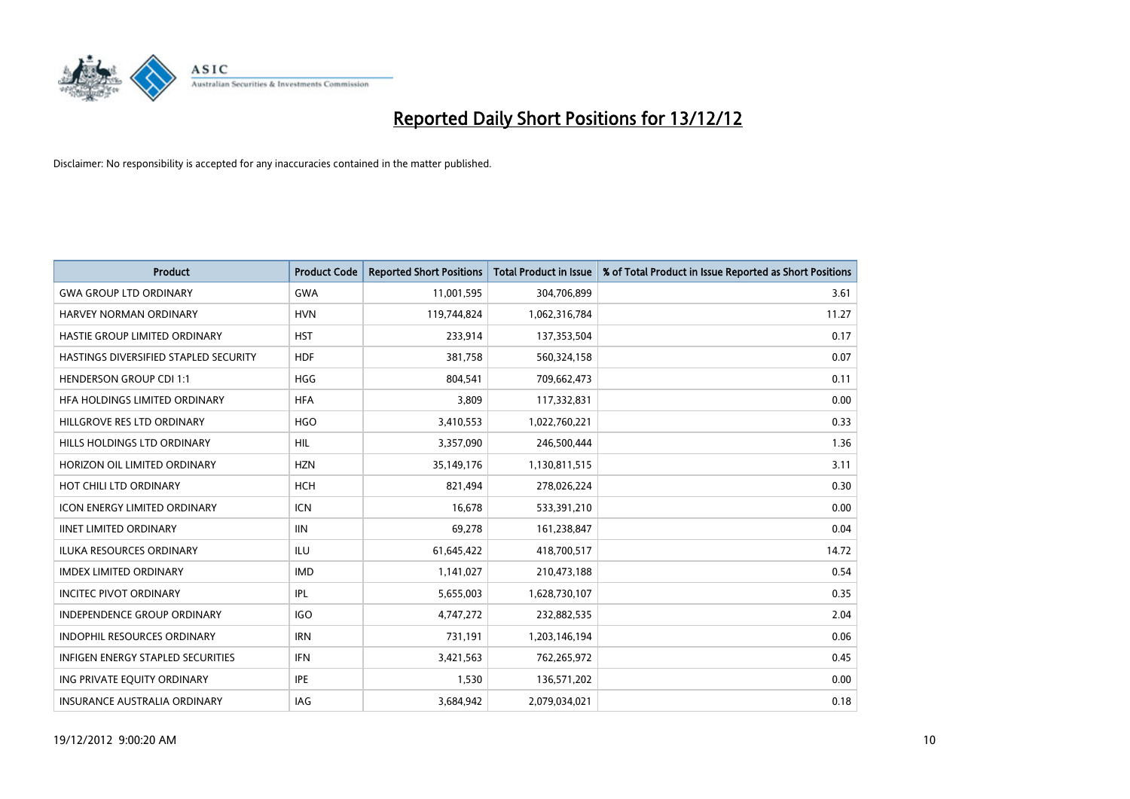

| <b>Product</b>                        | <b>Product Code</b> | <b>Reported Short Positions</b> | <b>Total Product in Issue</b> | % of Total Product in Issue Reported as Short Positions |
|---------------------------------------|---------------------|---------------------------------|-------------------------------|---------------------------------------------------------|
| <b>GWA GROUP LTD ORDINARY</b>         | <b>GWA</b>          | 11,001,595                      | 304,706,899                   | 3.61                                                    |
| HARVEY NORMAN ORDINARY                | <b>HVN</b>          | 119,744,824                     | 1,062,316,784                 | 11.27                                                   |
| <b>HASTIE GROUP LIMITED ORDINARY</b>  | <b>HST</b>          | 233,914                         | 137,353,504                   | 0.17                                                    |
| HASTINGS DIVERSIFIED STAPLED SECURITY | <b>HDF</b>          | 381,758                         | 560,324,158                   | 0.07                                                    |
| <b>HENDERSON GROUP CDI 1:1</b>        | <b>HGG</b>          | 804,541                         | 709,662,473                   | 0.11                                                    |
| HEA HOLDINGS LIMITED ORDINARY         | <b>HFA</b>          | 3,809                           | 117,332,831                   | 0.00                                                    |
| HILLGROVE RES LTD ORDINARY            | <b>HGO</b>          | 3,410,553                       | 1,022,760,221                 | 0.33                                                    |
| HILLS HOLDINGS LTD ORDINARY           | <b>HIL</b>          | 3,357,090                       | 246,500,444                   | 1.36                                                    |
| HORIZON OIL LIMITED ORDINARY          | <b>HZN</b>          | 35,149,176                      | 1,130,811,515                 | 3.11                                                    |
| HOT CHILI LTD ORDINARY                | <b>HCH</b>          | 821,494                         | 278,026,224                   | 0.30                                                    |
| <b>ICON ENERGY LIMITED ORDINARY</b>   | <b>ICN</b>          | 16,678                          | 533,391,210                   | 0.00                                                    |
| <b>IINET LIMITED ORDINARY</b>         | <b>IIN</b>          | 69,278                          | 161,238,847                   | 0.04                                                    |
| ILUKA RESOURCES ORDINARY              | ILU                 | 61,645,422                      | 418,700,517                   | 14.72                                                   |
| <b>IMDEX LIMITED ORDINARY</b>         | <b>IMD</b>          | 1,141,027                       | 210,473,188                   | 0.54                                                    |
| <b>INCITEC PIVOT ORDINARY</b>         | IPL                 | 5,655,003                       | 1,628,730,107                 | 0.35                                                    |
| INDEPENDENCE GROUP ORDINARY           | <b>IGO</b>          | 4,747,272                       | 232,882,535                   | 2.04                                                    |
| <b>INDOPHIL RESOURCES ORDINARY</b>    | <b>IRN</b>          | 731,191                         | 1,203,146,194                 | 0.06                                                    |
| INFIGEN ENERGY STAPLED SECURITIES     | <b>IFN</b>          | 3,421,563                       | 762,265,972                   | 0.45                                                    |
| ING PRIVATE EQUITY ORDINARY           | <b>IPE</b>          | 1,530                           | 136,571,202                   | 0.00                                                    |
| <b>INSURANCE AUSTRALIA ORDINARY</b>   | IAG                 | 3,684,942                       | 2,079,034,021                 | 0.18                                                    |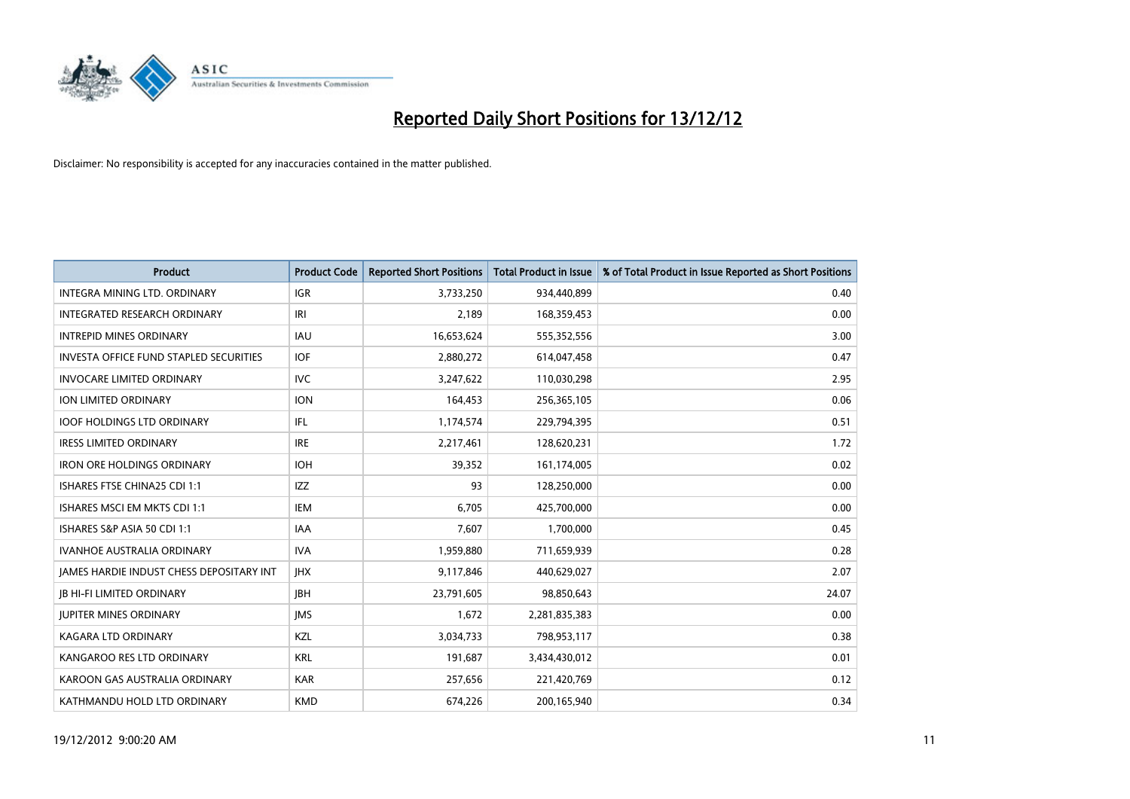

| <b>Product</b>                                  | <b>Product Code</b> | <b>Reported Short Positions</b> | <b>Total Product in Issue</b> | % of Total Product in Issue Reported as Short Positions |
|-------------------------------------------------|---------------------|---------------------------------|-------------------------------|---------------------------------------------------------|
| <b>INTEGRA MINING LTD, ORDINARY</b>             | <b>IGR</b>          | 3,733,250                       | 934,440,899                   | 0.40                                                    |
| <b>INTEGRATED RESEARCH ORDINARY</b>             | IRI                 | 2,189                           | 168,359,453                   | 0.00                                                    |
| <b>INTREPID MINES ORDINARY</b>                  | <b>IAU</b>          | 16,653,624                      | 555,352,556                   | 3.00                                                    |
| <b>INVESTA OFFICE FUND STAPLED SECURITIES</b>   | <b>IOF</b>          | 2,880,272                       | 614,047,458                   | 0.47                                                    |
| <b>INVOCARE LIMITED ORDINARY</b>                | IVC                 | 3,247,622                       | 110,030,298                   | 2.95                                                    |
| ION LIMITED ORDINARY                            | <b>ION</b>          | 164,453                         | 256,365,105                   | 0.06                                                    |
| <b>IOOF HOLDINGS LTD ORDINARY</b>               | <b>IFL</b>          | 1,174,574                       | 229,794,395                   | 0.51                                                    |
| <b>IRESS LIMITED ORDINARY</b>                   | <b>IRE</b>          | 2,217,461                       | 128,620,231                   | 1.72                                                    |
| <b>IRON ORE HOLDINGS ORDINARY</b>               | <b>IOH</b>          | 39,352                          | 161,174,005                   | 0.02                                                    |
| ISHARES FTSE CHINA25 CDI 1:1                    | <b>IZZ</b>          | 93                              | 128,250,000                   | 0.00                                                    |
| ISHARES MSCI EM MKTS CDI 1:1                    | IEM                 | 6,705                           | 425,700,000                   | 0.00                                                    |
| ISHARES S&P ASIA 50 CDI 1:1                     | <b>IAA</b>          | 7,607                           | 1,700,000                     | 0.45                                                    |
| <b>IVANHOE AUSTRALIA ORDINARY</b>               | <b>IVA</b>          | 1,959,880                       | 711,659,939                   | 0.28                                                    |
| <b>JAMES HARDIE INDUST CHESS DEPOSITARY INT</b> | <b>IHX</b>          | 9,117,846                       | 440,629,027                   | 2.07                                                    |
| <b>JB HI-FI LIMITED ORDINARY</b>                | <b>IBH</b>          | 23,791,605                      | 98,850,643                    | 24.07                                                   |
| <b>JUPITER MINES ORDINARY</b>                   | <b>IMS</b>          | 1,672                           | 2,281,835,383                 | 0.00                                                    |
| KAGARA LTD ORDINARY                             | <b>KZL</b>          | 3,034,733                       | 798,953,117                   | 0.38                                                    |
| KANGAROO RES LTD ORDINARY                       | <b>KRL</b>          | 191,687                         | 3,434,430,012                 | 0.01                                                    |
| KAROON GAS AUSTRALIA ORDINARY                   | <b>KAR</b>          | 257,656                         | 221,420,769                   | 0.12                                                    |
| KATHMANDU HOLD LTD ORDINARY                     | <b>KMD</b>          | 674,226                         | 200,165,940                   | 0.34                                                    |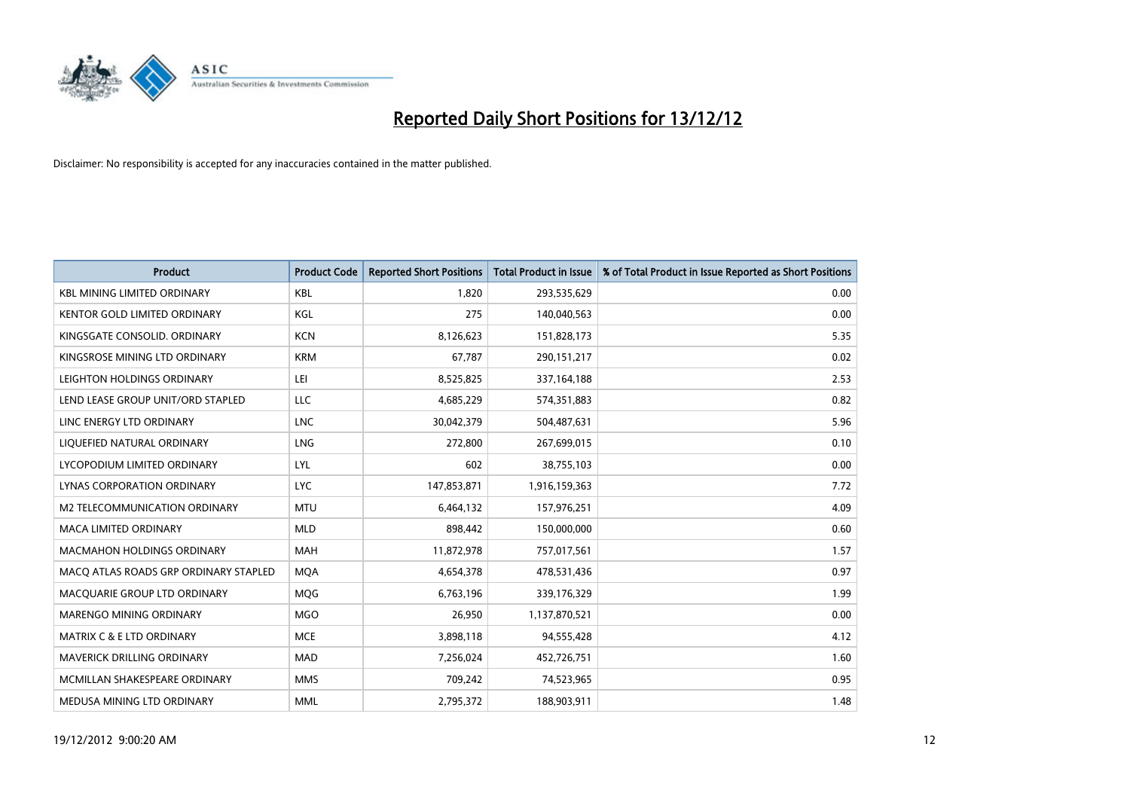

| <b>Product</b>                        | <b>Product Code</b> | <b>Reported Short Positions</b> | <b>Total Product in Issue</b> | % of Total Product in Issue Reported as Short Positions |
|---------------------------------------|---------------------|---------------------------------|-------------------------------|---------------------------------------------------------|
| <b>KBL MINING LIMITED ORDINARY</b>    | <b>KBL</b>          | 1.820                           | 293,535,629                   | 0.00                                                    |
| KENTOR GOLD LIMITED ORDINARY          | KGL                 | 275                             | 140,040,563                   | 0.00                                                    |
| KINGSGATE CONSOLID. ORDINARY          | <b>KCN</b>          | 8,126,623                       | 151,828,173                   | 5.35                                                    |
| KINGSROSE MINING LTD ORDINARY         | <b>KRM</b>          | 67,787                          | 290,151,217                   | 0.02                                                    |
| LEIGHTON HOLDINGS ORDINARY            | LEI                 | 8,525,825                       | 337, 164, 188                 | 2.53                                                    |
| LEND LEASE GROUP UNIT/ORD STAPLED     | <b>LLC</b>          | 4,685,229                       | 574,351,883                   | 0.82                                                    |
| LINC ENERGY LTD ORDINARY              | <b>LNC</b>          | 30,042,379                      | 504,487,631                   | 5.96                                                    |
| LIQUEFIED NATURAL ORDINARY            | <b>LNG</b>          | 272,800                         | 267,699,015                   | 0.10                                                    |
| LYCOPODIUM LIMITED ORDINARY           | <b>LYL</b>          | 602                             | 38,755,103                    | 0.00                                                    |
| LYNAS CORPORATION ORDINARY            | <b>LYC</b>          | 147,853,871                     | 1,916,159,363                 | 7.72                                                    |
| M2 TELECOMMUNICATION ORDINARY         | <b>MTU</b>          | 6,464,132                       | 157,976,251                   | 4.09                                                    |
| <b>MACA LIMITED ORDINARY</b>          | <b>MLD</b>          | 898,442                         | 150,000,000                   | 0.60                                                    |
| <b>MACMAHON HOLDINGS ORDINARY</b>     | <b>MAH</b>          | 11,872,978                      | 757,017,561                   | 1.57                                                    |
| MACO ATLAS ROADS GRP ORDINARY STAPLED | <b>MQA</b>          | 4,654,378                       | 478,531,436                   | 0.97                                                    |
| MACQUARIE GROUP LTD ORDINARY          | <b>MOG</b>          | 6,763,196                       | 339,176,329                   | 1.99                                                    |
| MARENGO MINING ORDINARY               | <b>MGO</b>          | 26,950                          | 1,137,870,521                 | 0.00                                                    |
| MATRIX C & E LTD ORDINARY             | <b>MCE</b>          | 3,898,118                       | 94,555,428                    | 4.12                                                    |
| <b>MAVERICK DRILLING ORDINARY</b>     | <b>MAD</b>          | 7,256,024                       | 452,726,751                   | 1.60                                                    |
| MCMILLAN SHAKESPEARE ORDINARY         | <b>MMS</b>          | 709,242                         | 74,523,965                    | 0.95                                                    |
| MEDUSA MINING LTD ORDINARY            | <b>MML</b>          | 2,795,372                       | 188,903,911                   | 1.48                                                    |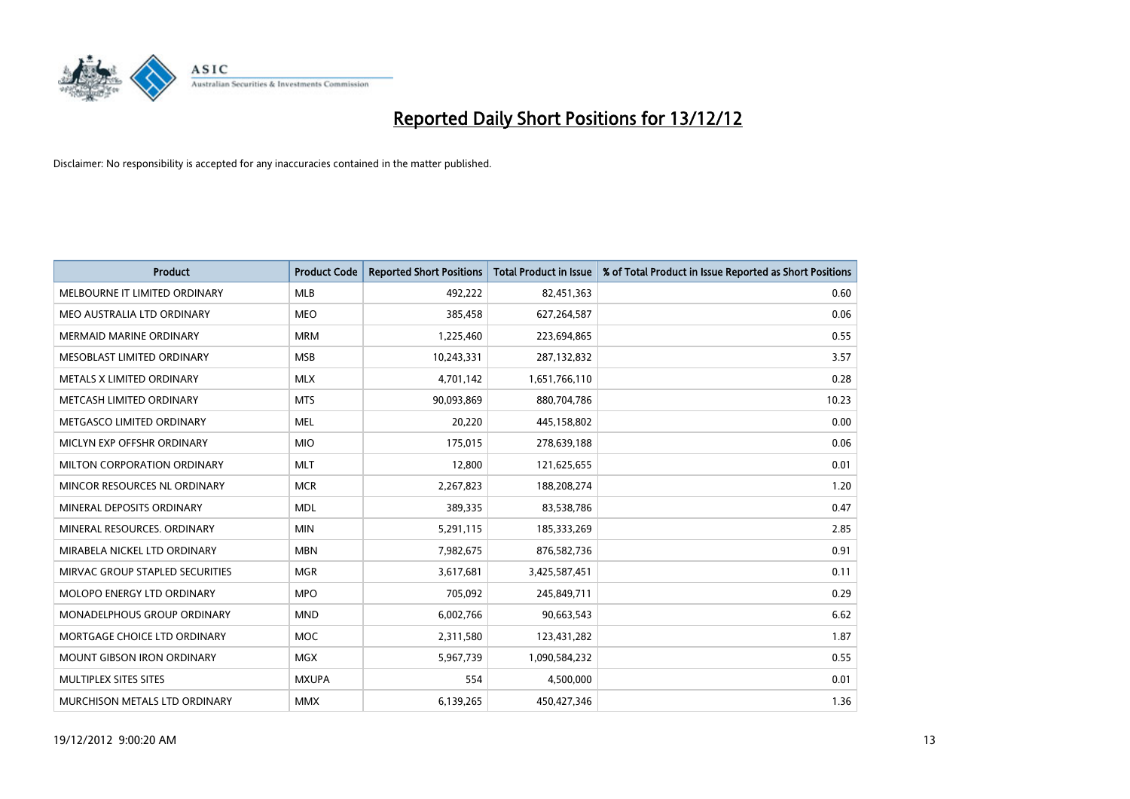

| <b>Product</b>                    | <b>Product Code</b> | <b>Reported Short Positions</b> | <b>Total Product in Issue</b> | % of Total Product in Issue Reported as Short Positions |
|-----------------------------------|---------------------|---------------------------------|-------------------------------|---------------------------------------------------------|
| MELBOURNE IT LIMITED ORDINARY     | <b>MLB</b>          | 492,222                         | 82,451,363                    | 0.60                                                    |
| MEO AUSTRALIA LTD ORDINARY        | <b>MEO</b>          | 385,458                         | 627,264,587                   | 0.06                                                    |
| <b>MERMAID MARINE ORDINARY</b>    | <b>MRM</b>          | 1,225,460                       | 223,694,865                   | 0.55                                                    |
| MESOBLAST LIMITED ORDINARY        | <b>MSB</b>          | 10,243,331                      | 287,132,832                   | 3.57                                                    |
| METALS X LIMITED ORDINARY         | <b>MLX</b>          | 4,701,142                       | 1,651,766,110                 | 0.28                                                    |
| METCASH LIMITED ORDINARY          | <b>MTS</b>          | 90,093,869                      | 880,704,786                   | 10.23                                                   |
| METGASCO LIMITED ORDINARY         | <b>MEL</b>          | 20,220                          | 445,158,802                   | 0.00                                                    |
| MICLYN EXP OFFSHR ORDINARY        | <b>MIO</b>          | 175,015                         | 278,639,188                   | 0.06                                                    |
| MILTON CORPORATION ORDINARY       | <b>MLT</b>          | 12.800                          | 121,625,655                   | 0.01                                                    |
| MINCOR RESOURCES NL ORDINARY      | <b>MCR</b>          | 2,267,823                       | 188,208,274                   | 1.20                                                    |
| MINERAL DEPOSITS ORDINARY         | <b>MDL</b>          | 389,335                         | 83,538,786                    | 0.47                                                    |
| MINERAL RESOURCES, ORDINARY       | <b>MIN</b>          | 5,291,115                       | 185,333,269                   | 2.85                                                    |
| MIRABELA NICKEL LTD ORDINARY      | <b>MBN</b>          | 7,982,675                       | 876,582,736                   | 0.91                                                    |
| MIRVAC GROUP STAPLED SECURITIES   | <b>MGR</b>          | 3,617,681                       | 3,425,587,451                 | 0.11                                                    |
| <b>MOLOPO ENERGY LTD ORDINARY</b> | <b>MPO</b>          | 705,092                         | 245,849,711                   | 0.29                                                    |
| MONADELPHOUS GROUP ORDINARY       | <b>MND</b>          | 6,002,766                       | 90,663,543                    | 6.62                                                    |
| MORTGAGE CHOICE LTD ORDINARY      | MOC                 | 2,311,580                       | 123,431,282                   | 1.87                                                    |
| MOUNT GIBSON IRON ORDINARY        | <b>MGX</b>          | 5,967,739                       | 1,090,584,232                 | 0.55                                                    |
| MULTIPLEX SITES SITES             | <b>MXUPA</b>        | 554                             | 4,500,000                     | 0.01                                                    |
| MURCHISON METALS LTD ORDINARY     | <b>MMX</b>          | 6,139,265                       | 450,427,346                   | 1.36                                                    |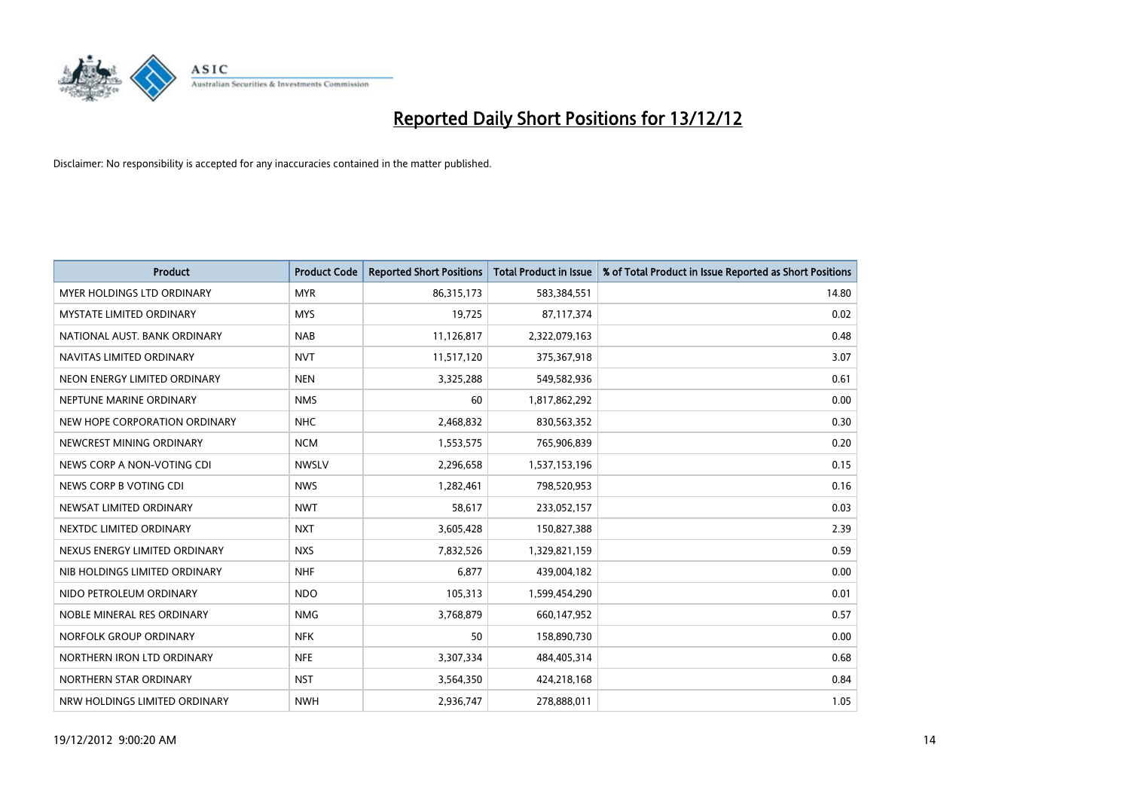

| <b>Product</b>                    | <b>Product Code</b> | <b>Reported Short Positions</b> | <b>Total Product in Issue</b> | % of Total Product in Issue Reported as Short Positions |
|-----------------------------------|---------------------|---------------------------------|-------------------------------|---------------------------------------------------------|
| <b>MYER HOLDINGS LTD ORDINARY</b> | <b>MYR</b>          | 86,315,173                      | 583,384,551                   | 14.80                                                   |
| MYSTATE LIMITED ORDINARY          | <b>MYS</b>          | 19,725                          | 87,117,374                    | 0.02                                                    |
| NATIONAL AUST, BANK ORDINARY      | <b>NAB</b>          | 11,126,817                      | 2,322,079,163                 | 0.48                                                    |
| NAVITAS LIMITED ORDINARY          | <b>NVT</b>          | 11,517,120                      | 375,367,918                   | 3.07                                                    |
| NEON ENERGY LIMITED ORDINARY      | <b>NEN</b>          | 3,325,288                       | 549,582,936                   | 0.61                                                    |
| NEPTUNE MARINE ORDINARY           | <b>NMS</b>          | 60                              | 1,817,862,292                 | 0.00                                                    |
| NEW HOPE CORPORATION ORDINARY     | <b>NHC</b>          | 2,468,832                       | 830,563,352                   | 0.30                                                    |
| NEWCREST MINING ORDINARY          | <b>NCM</b>          | 1,553,575                       | 765,906,839                   | 0.20                                                    |
| NEWS CORP A NON-VOTING CDI        | <b>NWSLV</b>        | 2,296,658                       | 1,537,153,196                 | 0.15                                                    |
| NEWS CORP B VOTING CDI            | <b>NWS</b>          | 1,282,461                       | 798,520,953                   | 0.16                                                    |
| NEWSAT LIMITED ORDINARY           | <b>NWT</b>          | 58,617                          | 233,052,157                   | 0.03                                                    |
| NEXTDC LIMITED ORDINARY           | <b>NXT</b>          | 3,605,428                       | 150,827,388                   | 2.39                                                    |
| NEXUS ENERGY LIMITED ORDINARY     | <b>NXS</b>          | 7,832,526                       | 1,329,821,159                 | 0.59                                                    |
| NIB HOLDINGS LIMITED ORDINARY     | <b>NHF</b>          | 6,877                           | 439,004,182                   | 0.00                                                    |
| NIDO PETROLEUM ORDINARY           | <b>NDO</b>          | 105,313                         | 1,599,454,290                 | 0.01                                                    |
| NOBLE MINERAL RES ORDINARY        | <b>NMG</b>          | 3,768,879                       | 660,147,952                   | 0.57                                                    |
| NORFOLK GROUP ORDINARY            | <b>NFK</b>          | 50                              | 158,890,730                   | 0.00                                                    |
| NORTHERN IRON LTD ORDINARY        | <b>NFE</b>          | 3,307,334                       | 484,405,314                   | 0.68                                                    |
| NORTHERN STAR ORDINARY            | <b>NST</b>          | 3,564,350                       | 424,218,168                   | 0.84                                                    |
| NRW HOLDINGS LIMITED ORDINARY     | <b>NWH</b>          | 2,936,747                       | 278,888,011                   | 1.05                                                    |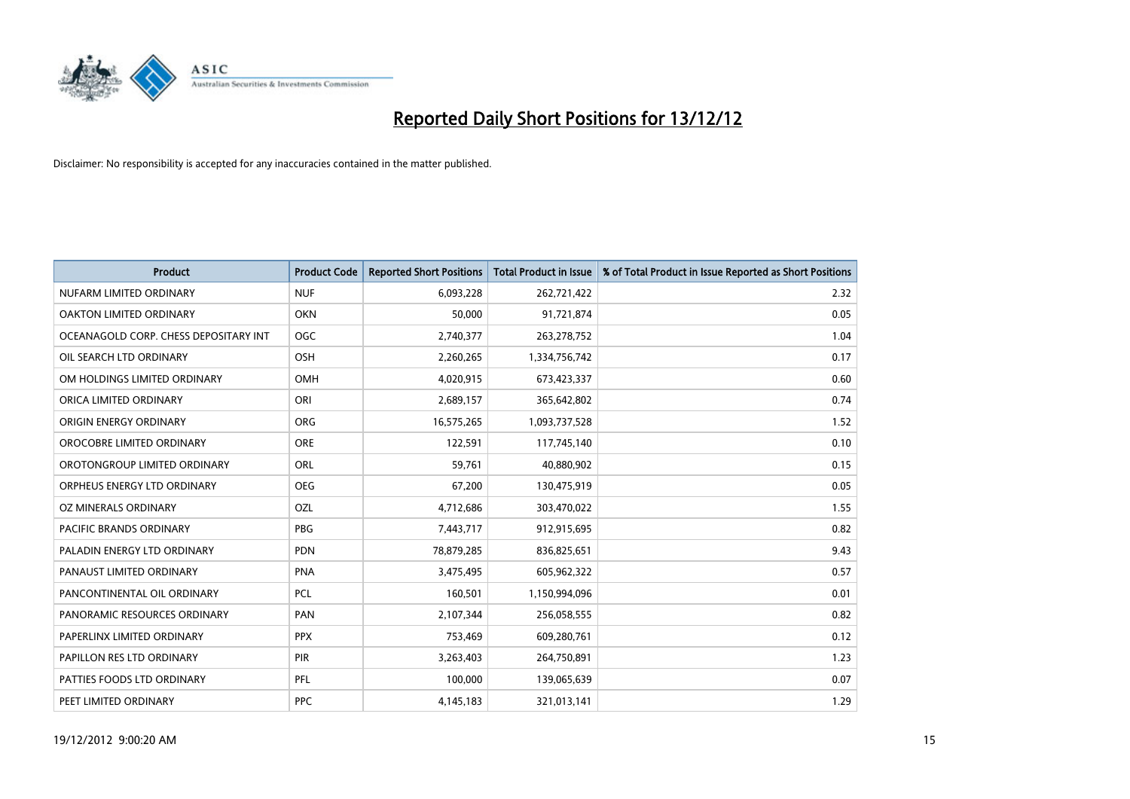

| <b>Product</b>                        | <b>Product Code</b> | <b>Reported Short Positions</b> | <b>Total Product in Issue</b> | % of Total Product in Issue Reported as Short Positions |
|---------------------------------------|---------------------|---------------------------------|-------------------------------|---------------------------------------------------------|
| NUFARM LIMITED ORDINARY               | <b>NUF</b>          | 6,093,228                       | 262,721,422                   | 2.32                                                    |
| OAKTON LIMITED ORDINARY               | <b>OKN</b>          | 50,000                          | 91,721,874                    | 0.05                                                    |
| OCEANAGOLD CORP. CHESS DEPOSITARY INT | <b>OGC</b>          | 2,740,377                       | 263,278,752                   | 1.04                                                    |
| OIL SEARCH LTD ORDINARY               | OSH                 | 2,260,265                       | 1,334,756,742                 | 0.17                                                    |
| OM HOLDINGS LIMITED ORDINARY          | OMH                 | 4,020,915                       | 673,423,337                   | 0.60                                                    |
| ORICA LIMITED ORDINARY                | ORI                 | 2,689,157                       | 365,642,802                   | 0.74                                                    |
| ORIGIN ENERGY ORDINARY                | <b>ORG</b>          | 16,575,265                      | 1,093,737,528                 | 1.52                                                    |
| OROCOBRE LIMITED ORDINARY             | <b>ORE</b>          | 122,591                         | 117,745,140                   | 0.10                                                    |
| OROTONGROUP LIMITED ORDINARY          | <b>ORL</b>          | 59,761                          | 40,880,902                    | 0.15                                                    |
| ORPHEUS ENERGY LTD ORDINARY           | <b>OEG</b>          | 67,200                          | 130,475,919                   | 0.05                                                    |
| OZ MINERALS ORDINARY                  | OZL                 | 4,712,686                       | 303,470,022                   | 1.55                                                    |
| PACIFIC BRANDS ORDINARY               | <b>PBG</b>          | 7,443,717                       | 912,915,695                   | 0.82                                                    |
| PALADIN ENERGY LTD ORDINARY           | <b>PDN</b>          | 78,879,285                      | 836,825,651                   | 9.43                                                    |
| PANAUST LIMITED ORDINARY              | PNA                 | 3,475,495                       | 605,962,322                   | 0.57                                                    |
| PANCONTINENTAL OIL ORDINARY           | <b>PCL</b>          | 160,501                         | 1,150,994,096                 | 0.01                                                    |
| PANORAMIC RESOURCES ORDINARY          | PAN                 | 2,107,344                       | 256,058,555                   | 0.82                                                    |
| PAPERLINX LIMITED ORDINARY            | <b>PPX</b>          | 753,469                         | 609,280,761                   | 0.12                                                    |
| PAPILLON RES LTD ORDINARY             | PIR                 | 3,263,403                       | 264,750,891                   | 1.23                                                    |
| PATTIES FOODS LTD ORDINARY            | <b>PFL</b>          | 100,000                         | 139,065,639                   | 0.07                                                    |
| PEET LIMITED ORDINARY                 | <b>PPC</b>          | 4,145,183                       | 321,013,141                   | 1.29                                                    |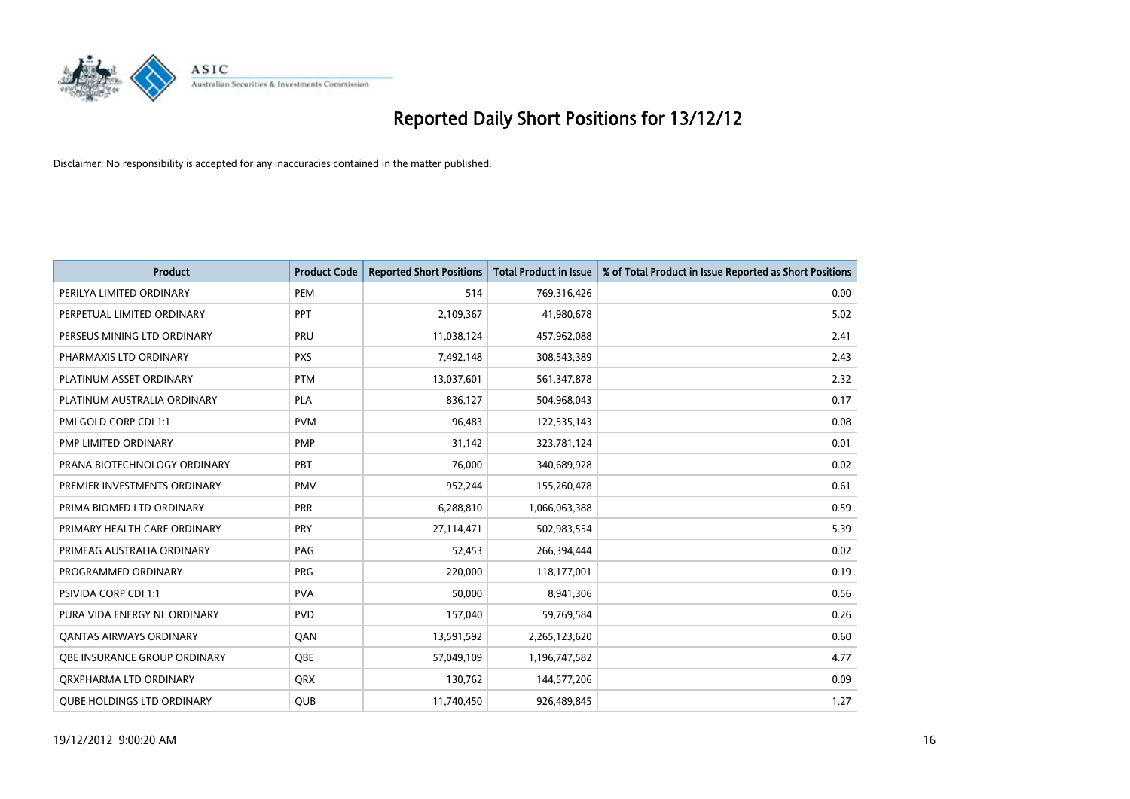

| <b>Product</b>                      | <b>Product Code</b> | <b>Reported Short Positions</b> | <b>Total Product in Issue</b> | % of Total Product in Issue Reported as Short Positions |
|-------------------------------------|---------------------|---------------------------------|-------------------------------|---------------------------------------------------------|
| PERILYA LIMITED ORDINARY            | PEM                 | 514                             | 769,316,426                   | 0.00                                                    |
| PERPETUAL LIMITED ORDINARY          | <b>PPT</b>          | 2,109,367                       | 41,980,678                    | 5.02                                                    |
| PERSEUS MINING LTD ORDINARY         | PRU                 | 11,038,124                      | 457,962,088                   | 2.41                                                    |
| PHARMAXIS LTD ORDINARY              | <b>PXS</b>          | 7,492,148                       | 308,543,389                   | 2.43                                                    |
| PLATINUM ASSET ORDINARY             | <b>PTM</b>          | 13,037,601                      | 561,347,878                   | 2.32                                                    |
| PLATINUM AUSTRALIA ORDINARY         | PLA                 | 836,127                         | 504,968,043                   | 0.17                                                    |
| PMI GOLD CORP CDI 1:1               | <b>PVM</b>          | 96,483                          | 122,535,143                   | 0.08                                                    |
| PMP LIMITED ORDINARY                | <b>PMP</b>          | 31,142                          | 323,781,124                   | 0.01                                                    |
| PRANA BIOTECHNOLOGY ORDINARY        | PBT                 | 76,000                          | 340,689,928                   | 0.02                                                    |
| PREMIER INVESTMENTS ORDINARY        | <b>PMV</b>          | 952,244                         | 155,260,478                   | 0.61                                                    |
| PRIMA BIOMED LTD ORDINARY           | <b>PRR</b>          | 6,288,810                       | 1,066,063,388                 | 0.59                                                    |
| PRIMARY HEALTH CARE ORDINARY        | PRY                 | 27,114,471                      | 502,983,554                   | 5.39                                                    |
| PRIMEAG AUSTRALIA ORDINARY          | PAG                 | 52,453                          | 266,394,444                   | 0.02                                                    |
| PROGRAMMED ORDINARY                 | <b>PRG</b>          | 220,000                         | 118,177,001                   | 0.19                                                    |
| <b>PSIVIDA CORP CDI 1:1</b>         | <b>PVA</b>          | 50,000                          | 8,941,306                     | 0.56                                                    |
| PURA VIDA ENERGY NL ORDINARY        | <b>PVD</b>          | 157,040                         | 59,769,584                    | 0.26                                                    |
| <b>QANTAS AIRWAYS ORDINARY</b>      | QAN                 | 13,591,592                      | 2,265,123,620                 | 0.60                                                    |
| <b>OBE INSURANCE GROUP ORDINARY</b> | <b>OBE</b>          | 57,049,109                      | 1,196,747,582                 | 4.77                                                    |
| ORXPHARMA LTD ORDINARY              | <b>QRX</b>          | 130,762                         | 144,577,206                   | 0.09                                                    |
| <b>QUBE HOLDINGS LTD ORDINARY</b>   | QUB                 | 11,740,450                      | 926,489,845                   | 1.27                                                    |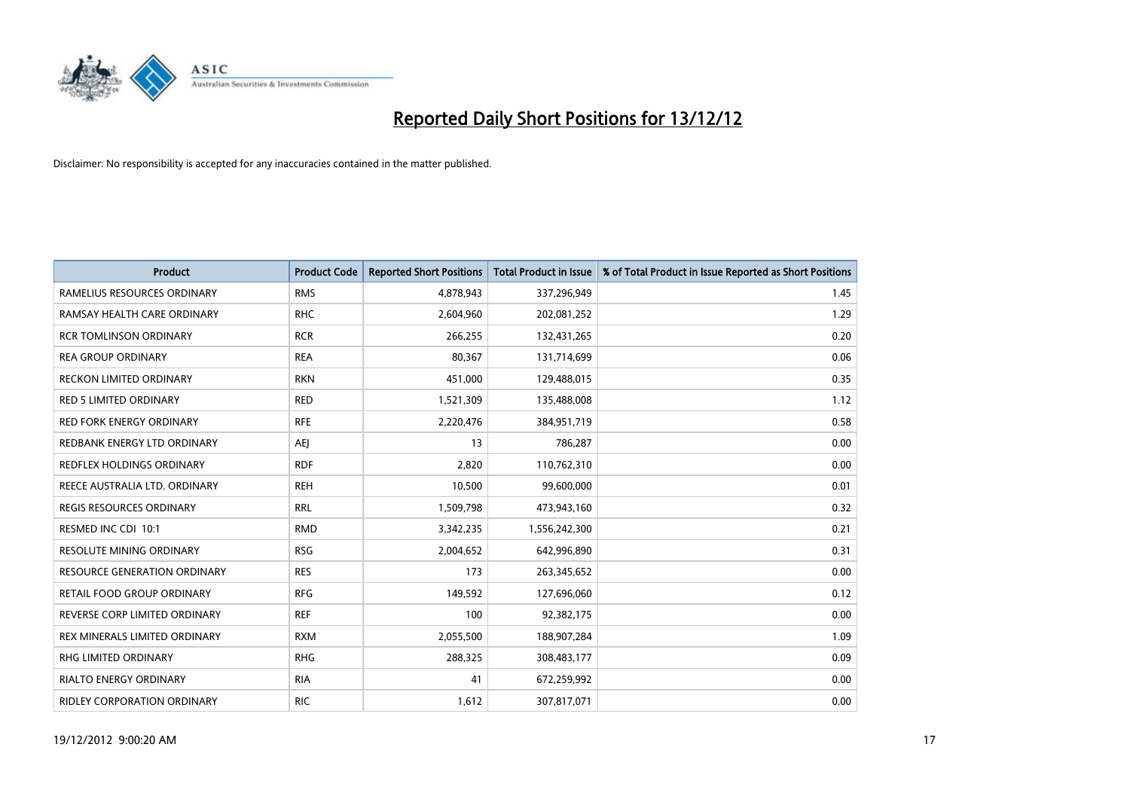

| <b>Product</b>                      | <b>Product Code</b> | <b>Reported Short Positions</b> | <b>Total Product in Issue</b> | % of Total Product in Issue Reported as Short Positions |
|-------------------------------------|---------------------|---------------------------------|-------------------------------|---------------------------------------------------------|
| RAMELIUS RESOURCES ORDINARY         | <b>RMS</b>          | 4,878,943                       | 337,296,949                   | 1.45                                                    |
| RAMSAY HEALTH CARE ORDINARY         | <b>RHC</b>          | 2,604,960                       | 202,081,252                   | 1.29                                                    |
| <b>RCR TOMLINSON ORDINARY</b>       | <b>RCR</b>          | 266,255                         | 132,431,265                   | 0.20                                                    |
| <b>REA GROUP ORDINARY</b>           | <b>REA</b>          | 80,367                          | 131,714,699                   | 0.06                                                    |
| RECKON LIMITED ORDINARY             | <b>RKN</b>          | 451,000                         | 129,488,015                   | 0.35                                                    |
| <b>RED 5 LIMITED ORDINARY</b>       | <b>RED</b>          | 1,521,309                       | 135,488,008                   | 1.12                                                    |
| <b>RED FORK ENERGY ORDINARY</b>     | <b>RFE</b>          | 2,220,476                       | 384,951,719                   | 0.58                                                    |
| REDBANK ENERGY LTD ORDINARY         | AEJ                 | 13                              | 786,287                       | 0.00                                                    |
| REDFLEX HOLDINGS ORDINARY           | <b>RDF</b>          | 2,820                           | 110,762,310                   | 0.00                                                    |
| REECE AUSTRALIA LTD. ORDINARY       | <b>REH</b>          | 10,500                          | 99,600,000                    | 0.01                                                    |
| REGIS RESOURCES ORDINARY            | <b>RRL</b>          | 1,509,798                       | 473,943,160                   | 0.32                                                    |
| RESMED INC CDI 10:1                 | <b>RMD</b>          | 3,342,235                       | 1,556,242,300                 | 0.21                                                    |
| RESOLUTE MINING ORDINARY            | <b>RSG</b>          | 2,004,652                       | 642,996,890                   | 0.31                                                    |
| <b>RESOURCE GENERATION ORDINARY</b> | <b>RES</b>          | 173                             | 263,345,652                   | 0.00                                                    |
| RETAIL FOOD GROUP ORDINARY          | <b>RFG</b>          | 149,592                         | 127,696,060                   | 0.12                                                    |
| REVERSE CORP LIMITED ORDINARY       | <b>REF</b>          | 100                             | 92,382,175                    | 0.00                                                    |
| REX MINERALS LIMITED ORDINARY       | <b>RXM</b>          | 2,055,500                       | 188,907,284                   | 1.09                                                    |
| RHG LIMITED ORDINARY                | <b>RHG</b>          | 288,325                         | 308,483,177                   | 0.09                                                    |
| <b>RIALTO ENERGY ORDINARY</b>       | <b>RIA</b>          | 41                              | 672,259,992                   | 0.00                                                    |
| RIDLEY CORPORATION ORDINARY         | <b>RIC</b>          | 1,612                           | 307,817,071                   | 0.00                                                    |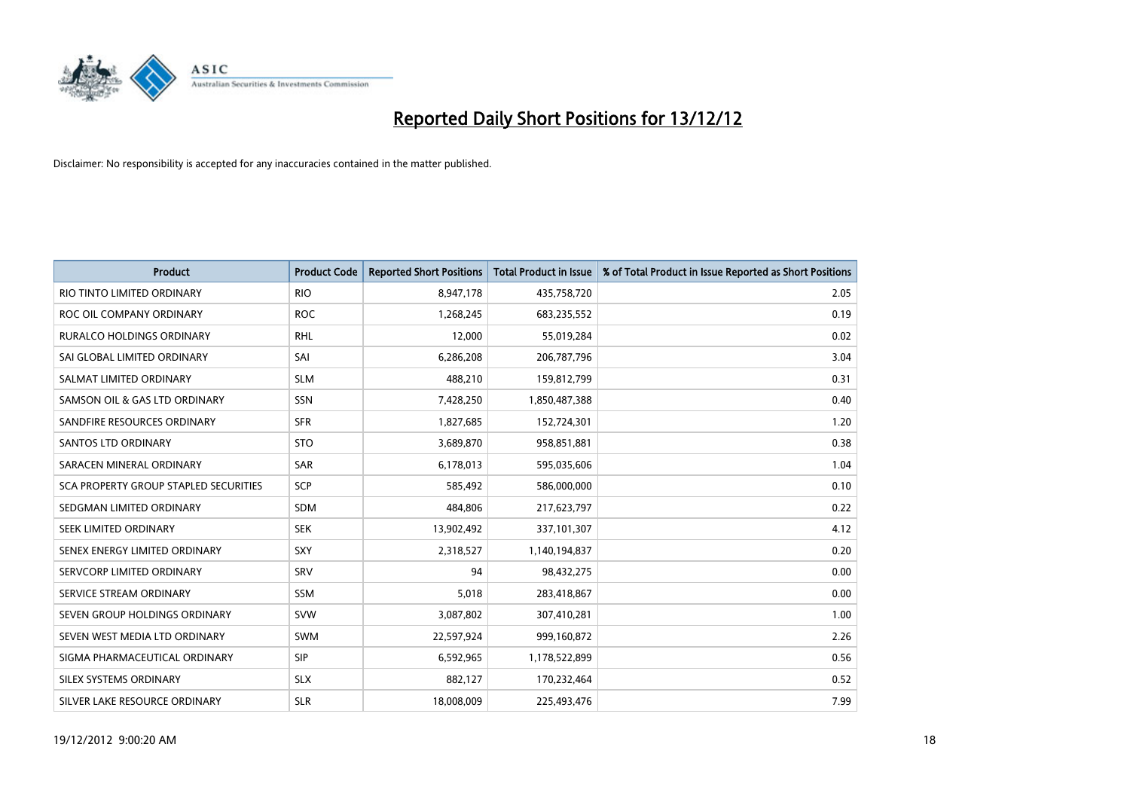

| <b>Product</b>                        | <b>Product Code</b> | <b>Reported Short Positions</b> | <b>Total Product in Issue</b> | % of Total Product in Issue Reported as Short Positions |
|---------------------------------------|---------------------|---------------------------------|-------------------------------|---------------------------------------------------------|
| RIO TINTO LIMITED ORDINARY            | <b>RIO</b>          | 8,947,178                       | 435,758,720                   | 2.05                                                    |
| ROC OIL COMPANY ORDINARY              | <b>ROC</b>          | 1,268,245                       | 683,235,552                   | 0.19                                                    |
| <b>RURALCO HOLDINGS ORDINARY</b>      | <b>RHL</b>          | 12,000                          | 55,019,284                    | 0.02                                                    |
| SAI GLOBAL LIMITED ORDINARY           | SAI                 | 6,286,208                       | 206,787,796                   | 3.04                                                    |
| SALMAT LIMITED ORDINARY               | <b>SLM</b>          | 488,210                         | 159,812,799                   | 0.31                                                    |
| SAMSON OIL & GAS LTD ORDINARY         | <b>SSN</b>          | 7,428,250                       | 1,850,487,388                 | 0.40                                                    |
| SANDFIRE RESOURCES ORDINARY           | <b>SFR</b>          | 1,827,685                       | 152,724,301                   | 1.20                                                    |
| <b>SANTOS LTD ORDINARY</b>            | <b>STO</b>          | 3,689,870                       | 958,851,881                   | 0.38                                                    |
| SARACEN MINERAL ORDINARY              | <b>SAR</b>          | 6,178,013                       | 595,035,606                   | 1.04                                                    |
| SCA PROPERTY GROUP STAPLED SECURITIES | SCP                 | 585,492                         | 586,000,000                   | 0.10                                                    |
| SEDGMAN LIMITED ORDINARY              | <b>SDM</b>          | 484,806                         | 217,623,797                   | 0.22                                                    |
| SEEK LIMITED ORDINARY                 | <b>SEK</b>          | 13,902,492                      | 337,101,307                   | 4.12                                                    |
| SENEX ENERGY LIMITED ORDINARY         | <b>SXY</b>          | 2,318,527                       | 1,140,194,837                 | 0.20                                                    |
| SERVCORP LIMITED ORDINARY             | SRV                 | 94                              | 98,432,275                    | 0.00                                                    |
| SERVICE STREAM ORDINARY               | SSM                 | 5,018                           | 283,418,867                   | 0.00                                                    |
| SEVEN GROUP HOLDINGS ORDINARY         | <b>SVW</b>          | 3,087,802                       | 307,410,281                   | 1.00                                                    |
| SEVEN WEST MEDIA LTD ORDINARY         | <b>SWM</b>          | 22,597,924                      | 999,160,872                   | 2.26                                                    |
| SIGMA PHARMACEUTICAL ORDINARY         | <b>SIP</b>          | 6,592,965                       | 1,178,522,899                 | 0.56                                                    |
| SILEX SYSTEMS ORDINARY                | <b>SLX</b>          | 882,127                         | 170,232,464                   | 0.52                                                    |
| SILVER LAKE RESOURCE ORDINARY         | <b>SLR</b>          | 18,008,009                      | 225,493,476                   | 7.99                                                    |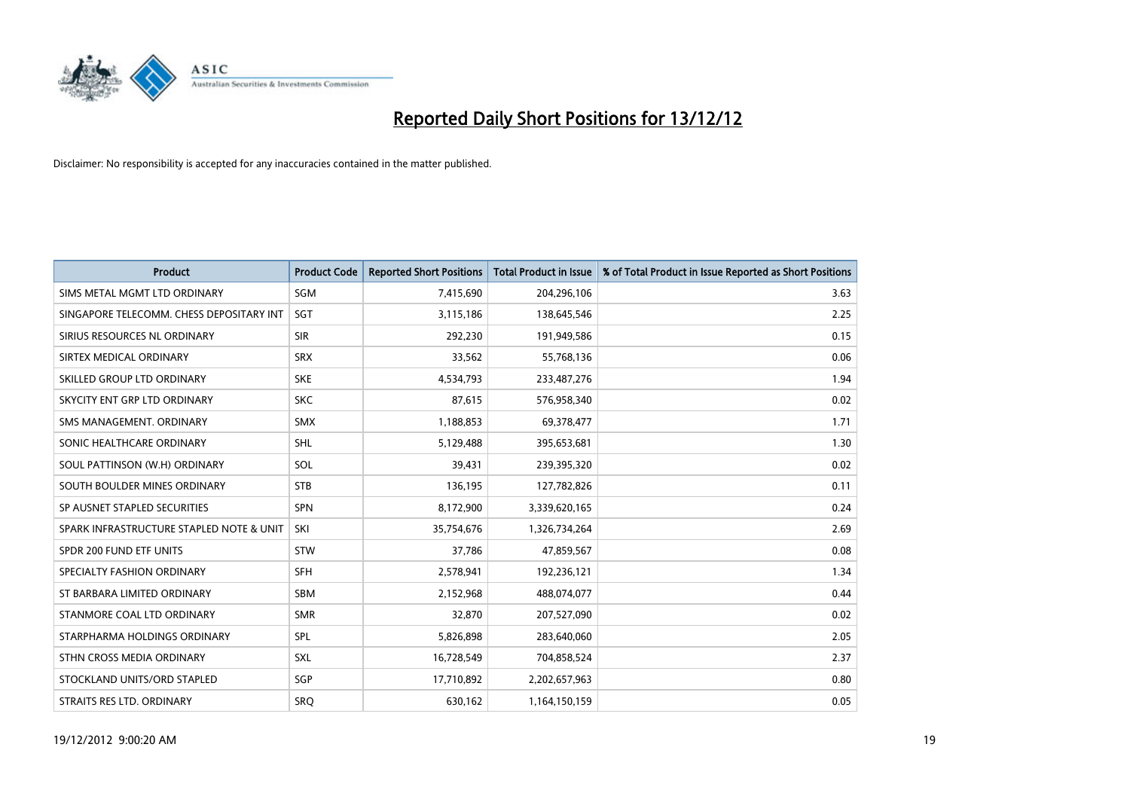

| <b>Product</b>                           | <b>Product Code</b> | <b>Reported Short Positions</b> | <b>Total Product in Issue</b> | % of Total Product in Issue Reported as Short Positions |
|------------------------------------------|---------------------|---------------------------------|-------------------------------|---------------------------------------------------------|
| SIMS METAL MGMT LTD ORDINARY             | SGM                 | 7,415,690                       | 204,296,106                   | 3.63                                                    |
| SINGAPORE TELECOMM. CHESS DEPOSITARY INT | <b>SGT</b>          | 3,115,186                       | 138,645,546                   | 2.25                                                    |
| SIRIUS RESOURCES NL ORDINARY             | <b>SIR</b>          | 292,230                         | 191,949,586                   | 0.15                                                    |
| SIRTEX MEDICAL ORDINARY                  | <b>SRX</b>          | 33,562                          | 55,768,136                    | 0.06                                                    |
| SKILLED GROUP LTD ORDINARY               | <b>SKE</b>          | 4,534,793                       | 233,487,276                   | 1.94                                                    |
| SKYCITY ENT GRP LTD ORDINARY             | <b>SKC</b>          | 87,615                          | 576,958,340                   | 0.02                                                    |
| SMS MANAGEMENT, ORDINARY                 | <b>SMX</b>          | 1,188,853                       | 69,378,477                    | 1.71                                                    |
| SONIC HEALTHCARE ORDINARY                | <b>SHL</b>          | 5,129,488                       | 395,653,681                   | 1.30                                                    |
| SOUL PATTINSON (W.H) ORDINARY            | SOL                 | 39,431                          | 239,395,320                   | 0.02                                                    |
| SOUTH BOULDER MINES ORDINARY             | <b>STB</b>          | 136,195                         | 127,782,826                   | 0.11                                                    |
| SP AUSNET STAPLED SECURITIES             | <b>SPN</b>          | 8,172,900                       | 3,339,620,165                 | 0.24                                                    |
| SPARK INFRASTRUCTURE STAPLED NOTE & UNIT | SKI                 | 35,754,676                      | 1,326,734,264                 | 2.69                                                    |
| SPDR 200 FUND ETF UNITS                  | <b>STW</b>          | 37,786                          | 47,859,567                    | 0.08                                                    |
| SPECIALTY FASHION ORDINARY               | <b>SFH</b>          | 2,578,941                       | 192,236,121                   | 1.34                                                    |
| ST BARBARA LIMITED ORDINARY              | <b>SBM</b>          | 2,152,968                       | 488,074,077                   | 0.44                                                    |
| STANMORE COAL LTD ORDINARY               | <b>SMR</b>          | 32,870                          | 207,527,090                   | 0.02                                                    |
| STARPHARMA HOLDINGS ORDINARY             | SPL                 | 5,826,898                       | 283,640,060                   | 2.05                                                    |
| STHN CROSS MEDIA ORDINARY                | <b>SXL</b>          | 16,728,549                      | 704,858,524                   | 2.37                                                    |
| STOCKLAND UNITS/ORD STAPLED              | SGP                 | 17,710,892                      | 2,202,657,963                 | 0.80                                                    |
| STRAITS RES LTD. ORDINARY                | <b>SRQ</b>          | 630,162                         | 1,164,150,159                 | 0.05                                                    |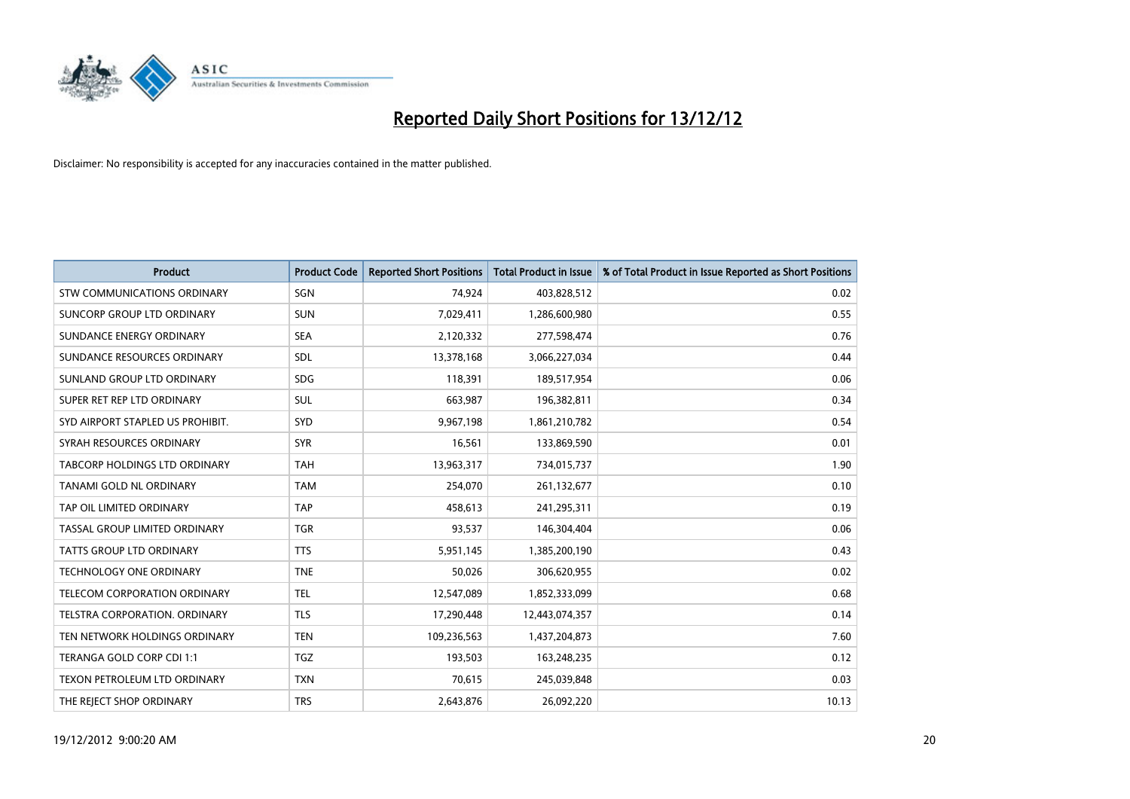

| <b>Product</b>                       | <b>Product Code</b> | <b>Reported Short Positions</b> | <b>Total Product in Issue</b> | % of Total Product in Issue Reported as Short Positions |
|--------------------------------------|---------------------|---------------------------------|-------------------------------|---------------------------------------------------------|
| <b>STW COMMUNICATIONS ORDINARY</b>   | SGN                 | 74,924                          | 403,828,512                   | 0.02                                                    |
| SUNCORP GROUP LTD ORDINARY           | <b>SUN</b>          | 7,029,411                       | 1,286,600,980                 | 0.55                                                    |
| SUNDANCE ENERGY ORDINARY             | <b>SEA</b>          | 2,120,332                       | 277,598,474                   | 0.76                                                    |
| SUNDANCE RESOURCES ORDINARY          | <b>SDL</b>          | 13,378,168                      | 3,066,227,034                 | 0.44                                                    |
| SUNLAND GROUP LTD ORDINARY           | <b>SDG</b>          | 118,391                         | 189,517,954                   | 0.06                                                    |
| SUPER RET REP LTD ORDINARY           | <b>SUL</b>          | 663,987                         | 196,382,811                   | 0.34                                                    |
| SYD AIRPORT STAPLED US PROHIBIT.     | <b>SYD</b>          | 9,967,198                       | 1,861,210,782                 | 0.54                                                    |
| SYRAH RESOURCES ORDINARY             | <b>SYR</b>          | 16,561                          | 133,869,590                   | 0.01                                                    |
| TABCORP HOLDINGS LTD ORDINARY        | <b>TAH</b>          | 13,963,317                      | 734,015,737                   | 1.90                                                    |
| TANAMI GOLD NL ORDINARY              | <b>TAM</b>          | 254,070                         | 261,132,677                   | 0.10                                                    |
| TAP OIL LIMITED ORDINARY             | <b>TAP</b>          | 458,613                         | 241,295,311                   | 0.19                                                    |
| <b>TASSAL GROUP LIMITED ORDINARY</b> | <b>TGR</b>          | 93,537                          | 146,304,404                   | 0.06                                                    |
| TATTS GROUP LTD ORDINARY             | <b>TTS</b>          | 5,951,145                       | 1,385,200,190                 | 0.43                                                    |
| <b>TECHNOLOGY ONE ORDINARY</b>       | <b>TNE</b>          | 50,026                          | 306,620,955                   | 0.02                                                    |
| <b>TELECOM CORPORATION ORDINARY</b>  | <b>TEL</b>          | 12,547,089                      | 1,852,333,099                 | 0.68                                                    |
| TELSTRA CORPORATION. ORDINARY        | <b>TLS</b>          | 17,290,448                      | 12,443,074,357                | 0.14                                                    |
| TEN NETWORK HOLDINGS ORDINARY        | <b>TEN</b>          | 109,236,563                     | 1,437,204,873                 | 7.60                                                    |
| TERANGA GOLD CORP CDI 1:1            | <b>TGZ</b>          | 193,503                         | 163,248,235                   | 0.12                                                    |
| TEXON PETROLEUM LTD ORDINARY         | <b>TXN</b>          | 70,615                          | 245,039,848                   | 0.03                                                    |
| THE REJECT SHOP ORDINARY             | <b>TRS</b>          | 2,643,876                       | 26,092,220                    | 10.13                                                   |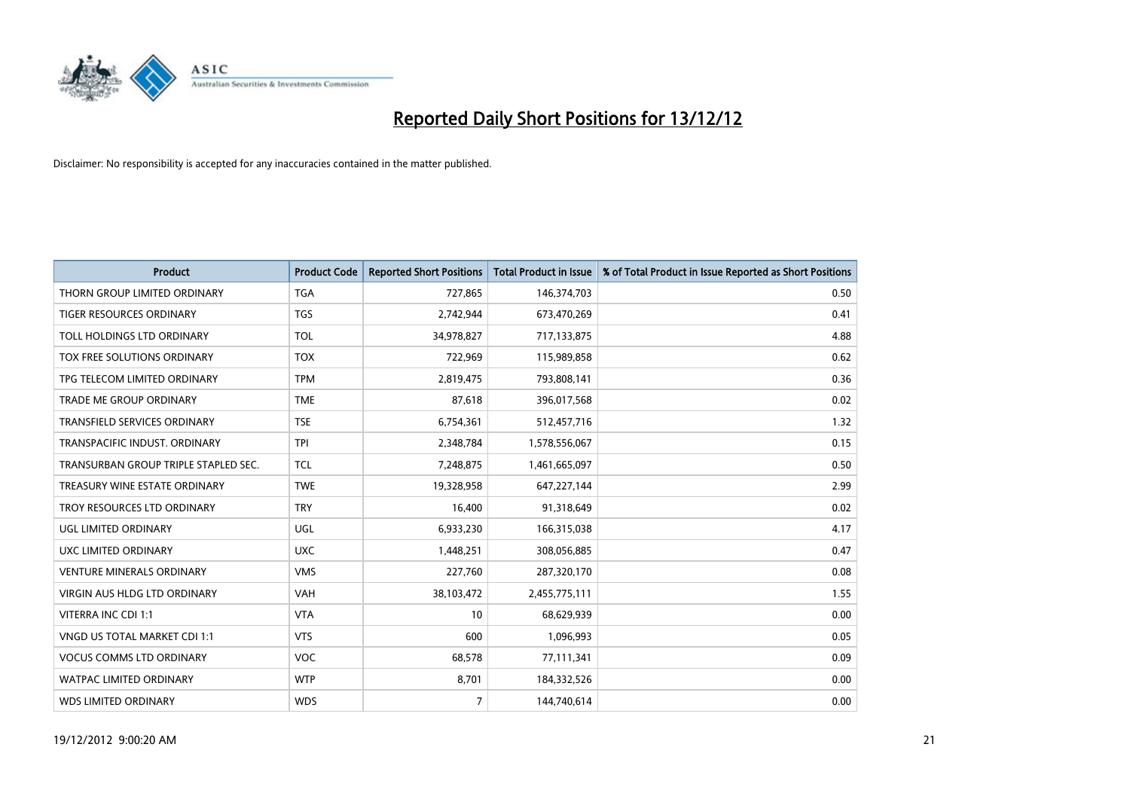

| <b>Product</b>                       | <b>Product Code</b> | <b>Reported Short Positions</b> | <b>Total Product in Issue</b> | % of Total Product in Issue Reported as Short Positions |
|--------------------------------------|---------------------|---------------------------------|-------------------------------|---------------------------------------------------------|
| THORN GROUP LIMITED ORDINARY         | <b>TGA</b>          | 727,865                         | 146,374,703                   | 0.50                                                    |
| TIGER RESOURCES ORDINARY             | <b>TGS</b>          | 2,742,944                       | 673,470,269                   | 0.41                                                    |
| TOLL HOLDINGS LTD ORDINARY           | <b>TOL</b>          | 34,978,827                      | 717,133,875                   | 4.88                                                    |
| TOX FREE SOLUTIONS ORDINARY          | <b>TOX</b>          | 722,969                         | 115,989,858                   | 0.62                                                    |
| TPG TELECOM LIMITED ORDINARY         | <b>TPM</b>          | 2,819,475                       | 793,808,141                   | 0.36                                                    |
| <b>TRADE ME GROUP ORDINARY</b>       | <b>TME</b>          | 87,618                          | 396,017,568                   | 0.02                                                    |
| <b>TRANSFIELD SERVICES ORDINARY</b>  | <b>TSE</b>          | 6,754,361                       | 512,457,716                   | 1.32                                                    |
| TRANSPACIFIC INDUST, ORDINARY        | <b>TPI</b>          | 2,348,784                       | 1,578,556,067                 | 0.15                                                    |
| TRANSURBAN GROUP TRIPLE STAPLED SEC. | <b>TCL</b>          | 7,248,875                       | 1,461,665,097                 | 0.50                                                    |
| TREASURY WINE ESTATE ORDINARY        | <b>TWE</b>          | 19,328,958                      | 647,227,144                   | 2.99                                                    |
| TROY RESOURCES LTD ORDINARY          | <b>TRY</b>          | 16,400                          | 91,318,649                    | 0.02                                                    |
| <b>UGL LIMITED ORDINARY</b>          | UGL                 | 6,933,230                       | 166,315,038                   | 4.17                                                    |
| UXC LIMITED ORDINARY                 | <b>UXC</b>          | 1,448,251                       | 308,056,885                   | 0.47                                                    |
| <b>VENTURE MINERALS ORDINARY</b>     | <b>VMS</b>          | 227,760                         | 287,320,170                   | 0.08                                                    |
| <b>VIRGIN AUS HLDG LTD ORDINARY</b>  | <b>VAH</b>          | 38,103,472                      | 2,455,775,111                 | 1.55                                                    |
| VITERRA INC CDI 1:1                  | <b>VTA</b>          | 10                              | 68,629,939                    | 0.00                                                    |
| VNGD US TOTAL MARKET CDI 1:1         | <b>VTS</b>          | 600                             | 1,096,993                     | 0.05                                                    |
| <b>VOCUS COMMS LTD ORDINARY</b>      | <b>VOC</b>          | 68,578                          | 77,111,341                    | 0.09                                                    |
| <b>WATPAC LIMITED ORDINARY</b>       | <b>WTP</b>          | 8,701                           | 184,332,526                   | 0.00                                                    |
| <b>WDS LIMITED ORDINARY</b>          | <b>WDS</b>          | $\overline{7}$                  | 144,740,614                   | 0.00                                                    |